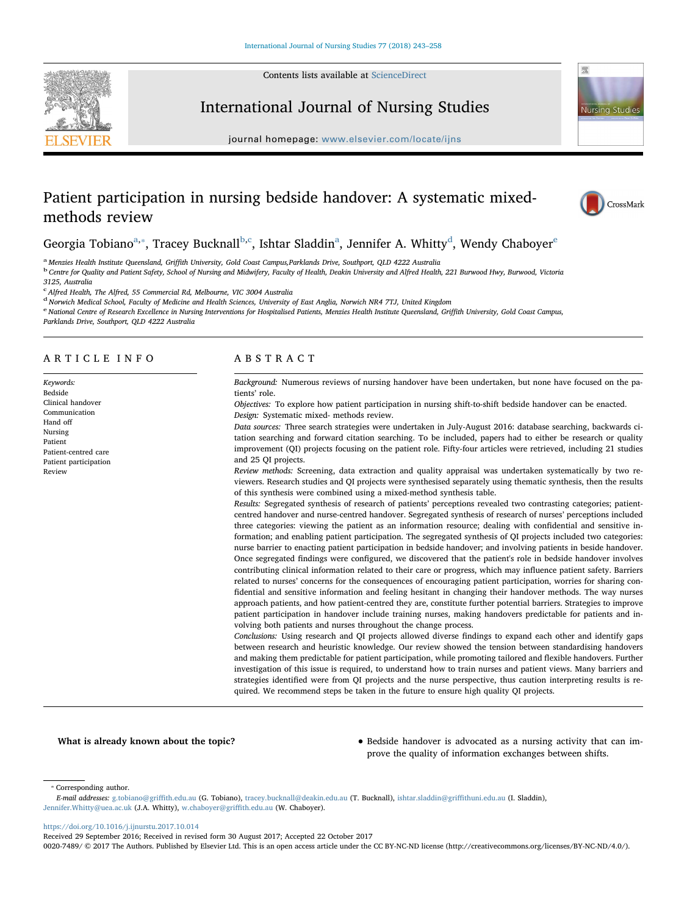Contents lists available at [ScienceDirect](http://www.sciencedirect.com/science/journal/00207489)



# Nursing Studies

## International Journal of Nursing Studies

journal homepage: [www.elsevier.com/locate/ijns](https://www.elsevier.com/locate/ijns)

## Patient participation in nursing bedside handover: A systematic mixedmethods review



## Georgia Tobiano<sup>[a,](#page-0-0)</sup>\*, Tracey Bucknall<sup>[b,](#page-0-2)[c](#page-0-3)</sup>, Isht[a](#page-0-0)r Sla[d](#page-0-4)din<sup>a</sup>, J[e](#page-0-5)nnifer A. Whitty<sup>d</sup>, Wendy Chaboyer<sup>e</sup>

<span id="page-0-2"></span>

<span id="page-0-0"></span><sup>a</sup> Menzies Health Institute Queensland, Griffith University, Gold Coast Campus,Parklands Drive, Southport, QLD 4222 Australia<br><sup>b</sup> Centre for Quality and Patient Safety, School of Nursing and Midwifery, Faculty of Health,

3125, Australia

<span id="page-0-3"></span><sup>c</sup> Alfred Health, The Alfred, 55 Commercial Rd, Melbourne, VIC 3004 Australia

<span id="page-0-4"></span><sup>d</sup> Norwich Medical School, Faculty of Medicine and Health Sciences, University of East Anglia, Norwich NR4 7TJ, United Kingdom

<span id="page-0-5"></span>e National Centre of Research Excellence in Nursing Interventions for Hospitalised Patients, Menzies Health Institute Queensland, Griffith University, Gold Coast Campus,

Parklands Drive, Southport, QLD 4222 Australia

### ARTICLE INFO

Keywords: Bedside Clinical handover Communication Hand off Nursing Patient Patient-centred care Patient participation Review

### ABSTRACT

Background: Numerous reviews of nursing handover have been undertaken, but none have focused on the patients' role.

Objectives: To explore how patient participation in nursing shift-to-shift bedside handover can be enacted. Design: Systematic mixed- methods review.

Data sources: Three search strategies were undertaken in July-August 2016: database searching, backwards citation searching and forward citation searching. To be included, papers had to either be research or quality improvement (QI) projects focusing on the patient role. Fifty-four articles were retrieved, including 21 studies and 25 QI projects.

Review methods: Screening, data extraction and quality appraisal was undertaken systematically by two reviewers. Research studies and QI projects were synthesised separately using thematic synthesis, then the results of this synthesis were combined using a mixed-method synthesis table.

Results: Segregated synthesis of research of patients' perceptions revealed two contrasting categories; patientcentred handover and nurse-centred handover. Segregated synthesis of research of nurses' perceptions included three categories: viewing the patient as an information resource; dealing with confidential and sensitive information; and enabling patient participation. The segregated synthesis of QI projects included two categories: nurse barrier to enacting patient participation in bedside handover; and involving patients in beside handover. Once segregated findings were configured, we discovered that the patient's role in bedside handover involves contributing clinical information related to their care or progress, which may influence patient safety. Barriers related to nurses' concerns for the consequences of encouraging patient participation, worries for sharing confidential and sensitive information and feeling hesitant in changing their handover methods. The way nurses approach patients, and how patient-centred they are, constitute further potential barriers. Strategies to improve patient participation in handover include training nurses, making handovers predictable for patients and involving both patients and nurses throughout the change process.

Conclusions: Using research and QI projects allowed diverse findings to expand each other and identify gaps between research and heuristic knowledge. Our review showed the tension between standardising handovers and making them predictable for patient participation, while promoting tailored and flexible handovers. Further investigation of this issue is required, to understand how to train nurses and patient views. Many barriers and strategies identified were from QI projects and the nurse perspective, thus caution interpreting results is required. We recommend steps be taken in the future to ensure high quality QI projects.

What is already known about the topic? • • Bedside handover is advocated as a nursing activity that can improve the quality of information exchanges between shifts.

<span id="page-0-1"></span>⁎ Corresponding author.

<https://doi.org/10.1016/j.ijnurstu.2017.10.014>

Received 29 September 2016; Received in revised form 30 August 2017; Accepted 22 October 2017

0020-7489/ © 2017 The Authors. Published by Elsevier Ltd. This is an open access article under the CC BY-NC-ND license (http://creativecommons.org/licenses/BY-NC-ND/4.0/).

E-mail addresses: [g.tobiano@gri](mailto:g.tobiano@griffith.edu.au)ffith.edu.au (G. Tobiano), [tracey.bucknall@deakin.edu.au](mailto:tracey.bucknall@deakin.edu.au) (T. Bucknall), [ishtar.sladdin@gri](mailto:ishtar.sladdin@griffithuni.edu.au)ffithuni.edu.au (I. Sladdin), [Jennifer.Whitty@uea.ac.uk](mailto:Jennifer.Whitty@uea.ac.uk) (J.A. Whitty), [w.chaboyer@gri](mailto:w.chaboyer@griffith.edu.au)ffith.edu.au (W. Chaboyer).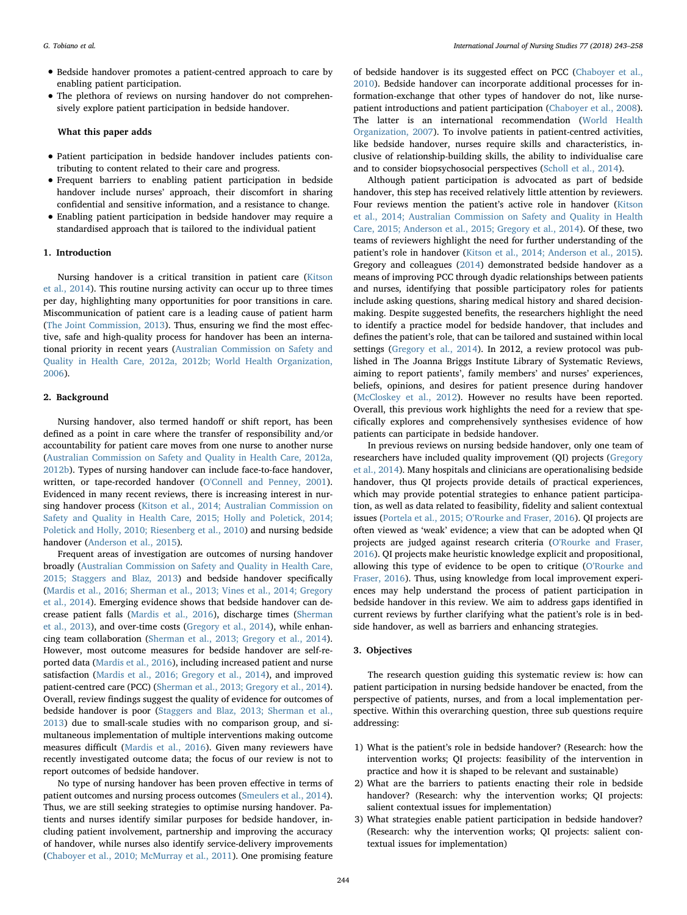- Bedside handover promotes a patient-centred approach to care by enabling patient participation.
- The plethora of reviews on nursing handover do not comprehensively explore patient participation in bedside handover.

#### What this paper adds

- Patient participation in bedside handover includes patients contributing to content related to their care and progress.
- Frequent barriers to enabling patient participation in bedside handover include nurses' approach, their discomfort in sharing confidential and sensitive information, and a resistance to change.
- Enabling patient participation in bedside handover may require a standardised approach that is tailored to the individual patient

#### 1. Introduction

Nursing handover is a critical transition in patient care [\(Kitson](#page-14-0) [et al., 2014](#page-14-0)). This routine nursing activity can occur up to three times per day, highlighting many opportunities for poor transitions in care. Miscommunication of patient care is a leading cause of patient harm ([The Joint Commission, 2013\)](#page-14-1). Thus, ensuring we find the most effective, safe and high-quality process for handover has been an international priority in recent years [\(Australian Commission on Safety and](#page-13-0) [Quality in Health Care, 2012a, 2012b; World Health Organization,](#page-13-0) [2006\)](#page-13-0).

#### 2. Background

Nursing handover, also termed handoff or shift report, has been defined as a point in care where the transfer of responsibility and/or accountability for patient care moves from one nurse to another nurse ([Australian Commission on Safety and Quality in Health Care, 2012a,](#page-13-0) [2012b\)](#page-13-0). Types of nursing handover can include face-to-face handover, written, or tape-recorded handover [\(O'Connell and Penney, 2001](#page-14-2)). Evidenced in many recent reviews, there is increasing interest in nursing handover process ([Kitson et al., 2014; Australian Commission on](#page-14-0) [Safety and Quality in Health Care, 2015; Holly and Poletick, 2014;](#page-14-0) [Poletick and Holly, 2010; Riesenberg et al., 2010\)](#page-14-0) and nursing bedside handover [\(Anderson et al., 2015](#page-13-1)).

Frequent areas of investigation are outcomes of nursing handover broadly [\(Australian Commission on Safety and Quality in Health Care,](#page-13-2) [2015; Staggers and Blaz, 2013](#page-13-2)) and bedside handover specifically ([Mardis et al., 2016; Sherman et al., 2013; Vines et al., 2014; Gregory](#page-14-3) [et al., 2014](#page-14-3)). Emerging evidence shows that bedside handover can decrease patient falls ([Mardis et al., 2016\)](#page-14-3), discharge times ([Sherman](#page-14-4) [et al., 2013\)](#page-14-4), and over-time costs [\(Gregory et al., 2014](#page-13-3)), while enhancing team collaboration ([Sherman et al., 2013; Gregory et al., 2014](#page-14-4)). However, most outcome measures for bedside handover are self-reported data [\(Mardis et al., 2016](#page-14-3)), including increased patient and nurse satisfaction ([Mardis et al., 2016; Gregory et al., 2014\)](#page-14-3), and improved patient-centred care (PCC) ([Sherman et al., 2013; Gregory et al., 2014](#page-14-4)). Overall, review findings suggest the quality of evidence for outcomes of bedside handover is poor ([Staggers and Blaz, 2013; Sherman et al.,](#page-14-5) [2013\)](#page-14-5) due to small-scale studies with no comparison group, and simultaneous implementation of multiple interventions making outcome measures difficult [\(Mardis et al., 2016](#page-14-3)). Given many reviewers have recently investigated outcome data; the focus of our review is not to report outcomes of bedside handover.

No type of nursing handover has been proven effective in terms of patient outcomes and nursing process outcomes ([Smeulers et al., 2014](#page-14-6)). Thus, we are still seeking strategies to optimise nursing handover. Patients and nurses identify similar purposes for bedside handover, including patient involvement, partnership and improving the accuracy of handover, while nurses also identify service-delivery improvements ([Chaboyer et al., 2010; McMurray et al., 2011](#page-13-4)). One promising feature of bedside handover is its suggested effect on PCC [\(Chaboyer et al.,](#page-13-4) [2010\)](#page-13-4). Bedside handover can incorporate additional processes for information-exchange that other types of handover do not, like nursepatient introductions and patient participation [\(Chaboyer et al., 2008](#page-13-5)). The latter is an international recommendation [\(World Health](#page-15-0) [Organization, 2007\)](#page-15-0). To involve patients in patient-centred activities, like bedside handover, nurses require skills and characteristics, inclusive of relationship-building skills, the ability to individualise care and to consider biopsychosocial perspectives ([Scholl et al., 2014](#page-14-7)).

Although patient participation is advocated as part of bedside handover, this step has received relatively little attention by reviewers. Four reviews mention the patient's active role in handover [\(Kitson](#page-14-0) [et al., 2014; Australian Commission on Safety and Quality in Health](#page-14-0) [Care, 2015; Anderson et al., 2015; Gregory et al., 2014\)](#page-14-0). Of these, two teams of reviewers highlight the need for further understanding of the patient's role in handover [\(Kitson et al., 2014; Anderson et al., 2015](#page-14-0)). Gregory and colleagues ([2014\)](#page-13-3) demonstrated bedside handover as a means of improving PCC through dyadic relationships between patients and nurses, identifying that possible participatory roles for patients include asking questions, sharing medical history and shared decisionmaking. Despite suggested benefits, the researchers highlight the need to identify a practice model for bedside handover, that includes and defines the patient's role, that can be tailored and sustained within local settings ([Gregory et al., 2014](#page-13-3)). In 2012, a review protocol was published in The Joanna Briggs Institute Library of Systematic Reviews, aiming to report patients', family members' and nurses' experiences, beliefs, opinions, and desires for patient presence during handover ([McCloskey et al., 2012](#page-14-8)). However no results have been reported. Overall, this previous work highlights the need for a review that specifically explores and comprehensively synthesises evidence of how patients can participate in bedside handover.

In previous reviews on nursing bedside handover, only one team of researchers have included quality improvement (QI) projects [\(Gregory](#page-13-3) [et al., 2014](#page-13-3)). Many hospitals and clinicians are operationalising bedside handover, thus QI projects provide details of practical experiences, which may provide potential strategies to enhance patient participation, as well as data related to feasibility, fidelity and salient contextual issues (Portela et al., 2015; O'[Rourke and Fraser, 2016](#page-14-9)). QI projects are often viewed as 'weak' evidence; a view that can be adopted when QI projects are judged against research criteria (O'[Rourke and Fraser,](#page-14-10) [2016\)](#page-14-10). QI projects make heuristic knowledge explicit and propositional, allowing this type of evidence to be open to critique (O'[Rourke](#page-14-10) and [Fraser, 2016](#page-14-10)). Thus, using knowledge from local improvement experiences may help understand the process of patient participation in bedside handover in this review. We aim to address gaps identified in current reviews by further clarifying what the patient's role is in bedside handover, as well as barriers and enhancing strategies.

#### 3. Objectives

The research question guiding this systematic review is: how can patient participation in nursing bedside handover be enacted, from the perspective of patients, nurses, and from a local implementation perspective. Within this overarching question, three sub questions require addressing:

- 1) What is the patient's role in bedside handover? (Research: how the intervention works; QI projects: feasibility of the intervention in practice and how it is shaped to be relevant and sustainable)
- 2) What are the barriers to patients enacting their role in bedside handover? (Research: why the intervention works; QI projects: salient contextual issues for implementation)
- 3) What strategies enable patient participation in bedside handover? (Research: why the intervention works; QI projects: salient contextual issues for implementation)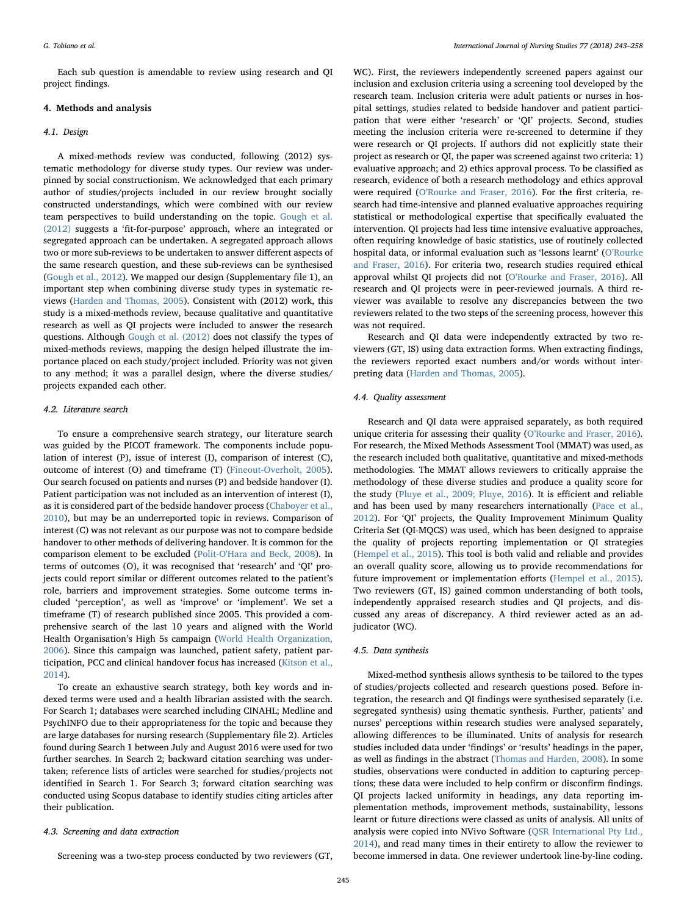Each sub question is amendable to review using research and QI project findings.

#### 4. Methods and analysis

#### 4.1. Design

A mixed-methods review was conducted, following (2012) systematic methodology for diverse study types. Our review was underpinned by social constructionism. We acknowledged that each primary author of studies/projects included in our review brought socially constructed understandings, which were combined with our review team perspectives to build understanding on the topic. [Gough et al.](#page-13-6) [\(2012\)](#page-13-6) suggests a 'fit-for-purpose' approach, where an integrated or segregated approach can be undertaken. A segregated approach allows two or more sub-reviews to be undertaken to answer different aspects of the same research question, and these sub-reviews can be synthesised ([Gough et al., 2012\)](#page-13-6). We mapped our design (Supplementary file 1), an important step when combining diverse study types in systematic reviews [\(Harden and Thomas, 2005](#page-14-11)). Consistent with (2012) work, this study is a mixed-methods review, because qualitative and quantitative research as well as QI projects were included to answer the research questions. Although [Gough et al. \(2012\)](#page-13-6) does not classify the types of mixed-methods reviews, mapping the design helped illustrate the importance placed on each study/project included. Priority was not given to any method; it was a parallel design, where the diverse studies/ projects expanded each other.

#### 4.2. Literature search

To ensure a comprehensive search strategy, our literature search was guided by the PICOT framework. The components include population of interest (P), issue of interest (I), comparison of interest (C), outcome of interest (O) and timeframe (T) ([Fineout-Overholt, 2005](#page-13-7)). Our search focused on patients and nurses (P) and bedside handover (I). Patient participation was not included as an intervention of interest (I), as it is considered part of the bedside handover process ([Chaboyer et al.,](#page-13-4) [2010\)](#page-13-4), but may be an underreported topic in reviews. Comparison of interest (C) was not relevant as our purpose was not to compare bedside handover to other methods of delivering handover. It is common for the comparison element to be excluded [\(Polit-O'Hara and Beck, 2008](#page-14-12)). In terms of outcomes (O), it was recognised that 'research' and 'QI' projects could report similar or different outcomes related to the patient's role, barriers and improvement strategies. Some outcome terms included 'perception', as well as 'improve' or 'implement'. We set a timeframe (T) of research published since 2005. This provided a comprehensive search of the last 10 years and aligned with the World Health Organisation's High 5s campaign [\(World Health Organization,](#page-15-1) [2006\)](#page-15-1). Since this campaign was launched, patient safety, patient participation, PCC and clinical handover focus has increased [\(Kitson et al.,](#page-14-0) [2014\)](#page-14-0).

To create an exhaustive search strategy, both key words and indexed terms were used and a health librarian assisted with the search. For Search 1; databases were searched including CINAHL; Medline and PsychINFO due to their appropriateness for the topic and because they are large databases for nursing research (Supplementary file 2). Articles found during Search 1 between July and August 2016 were used for two further searches. In Search 2; backward citation searching was undertaken; reference lists of articles were searched for studies/projects not identified in Search 1. For Search 3; forward citation searching was conducted using Scopus database to identify studies citing articles after their publication.

#### 4.3. Screening and data extraction

Screening was a two-step process conducted by two reviewers (GT,

WC). First, the reviewers independently screened papers against our inclusion and exclusion criteria using a screening tool developed by the research team. Inclusion criteria were adult patients or nurses in hospital settings, studies related to bedside handover and patient participation that were either 'research' or 'QI' projects. Second, studies meeting the inclusion criteria were re-screened to determine if they were research or QI projects. If authors did not explicitly state their project as research or QI, the paper was screened against two criteria: 1) evaluative approach; and 2) ethics approval process. To be classified as research, evidence of both a research methodology and ethics approval were required (O'[Rourke and Fraser, 2016](#page-14-10)). For the first criteria, research had time-intensive and planned evaluative approaches requiring statistical or methodological expertise that specifically evaluated the intervention. QI projects had less time intensive evaluative approaches, often requiring knowledge of basic statistics, use of routinely collected hospital data, or informal evaluation such as 'lessons learnt' (O'[Rourke](#page-14-10) [and Fraser, 2016](#page-14-10)). For criteria two, research studies required ethical approval whilst QI projects did not (O'[Rourke and Fraser, 2016](#page-14-10)). All research and QI projects were in peer-reviewed journals. A third reviewer was available to resolve any discrepancies between the two reviewers related to the two steps of the screening process, however this was not required.

Research and QI data were independently extracted by two reviewers (GT, IS) using data extraction forms. When extracting findings, the reviewers reported exact numbers and/or words without interpreting data ([Harden and Thomas, 2005](#page-14-11)).

#### 4.4. Quality assessment

Research and QI data were appraised separately, as both required unique criteria for assessing their quality (O'[Rourke and Fraser, 2016](#page-14-10)). For research, the Mixed Methods Assessment Tool (MMAT) was used, as the research included both qualitative, quantitative and mixed-methods methodologies. The MMAT allows reviewers to critically appraise the methodology of these diverse studies and produce a quality score for the study ([Pluye et al., 2009; Pluye, 2016](#page-14-13)). It is efficient and reliable and has been used by many researchers internationally ([Pace et al.,](#page-14-14) [2012\)](#page-14-14). For 'QI' projects, the Quality Improvement Minimum Quality Criteria Set (QI-MQCS) was used, which has been designed to appraise the quality of projects reporting implementation or QI strategies (Hempel [et al., 2015\)](#page-14-15). This tool is both valid and reliable and provides an overall quality score, allowing us to provide recommendations for future improvement or implementation efforts [\(Hempel et al., 2015](#page-14-15)). Two reviewers (GT, IS) gained common understanding of both tools, independently appraised research studies and QI projects, and discussed any areas of discrepancy. A third reviewer acted as an adjudicator (WC).

#### 4.5. Data synthesis

Mixed-method synthesis allows synthesis to be tailored to the types of studies/projects collected and research questions posed. Before integration, the research and QI findings were synthesised separately (i.e. segregated synthesis) using thematic synthesis. Further, patients' and nurses' perceptions within research studies were analysed separately, allowing differences to be illuminated. Units of analysis for research studies included data under 'findings' or 'results' headings in the paper, as well as findings in the abstract ([Thomas and Harden, 2008\)](#page-14-16). In some studies, observations were conducted in addition to capturing perceptions; these data were included to help confirm or disconfirm findings. QI projects lacked uniformity in headings, any data reporting implementation methods, improvement methods, sustainability, lessons learnt or future directions were classed as units of analysis. All units of analysis were copied into NVivo Software [\(QSR International Pty Ltd.,](#page-14-17) [2014\)](#page-14-17), and read many times in their entirety to allow the reviewer to become immersed in data. One reviewer undertook line-by-line coding.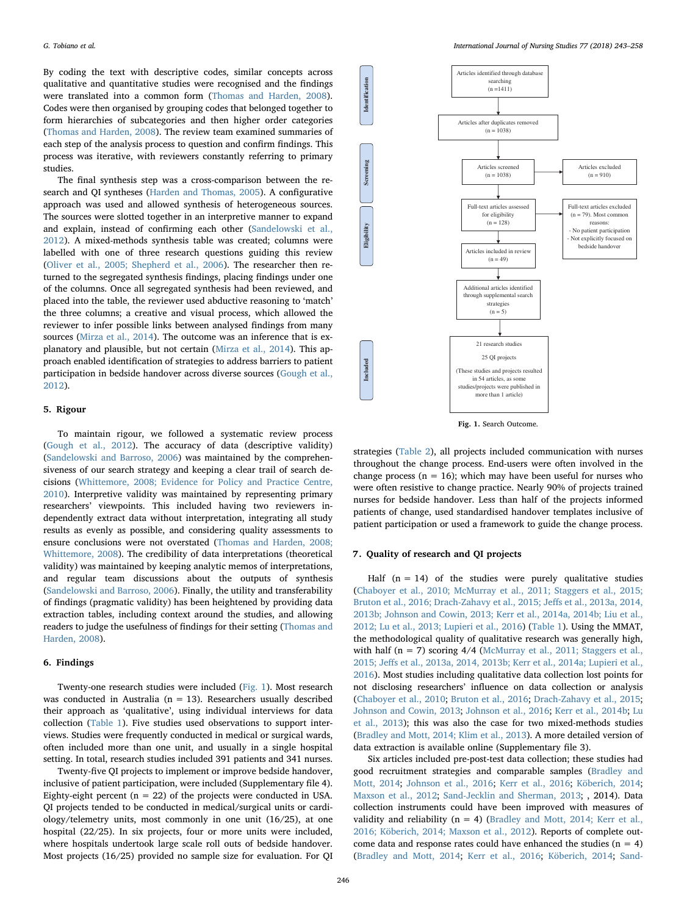By coding the text with descriptive codes, similar concepts across qualitative and quantitative studies were recognised and the findings were translated into a common form ([Thomas and Harden, 2008](#page-14-16)). Codes were then organised by grouping codes that belonged together to form hierarchies of subcategories and then higher order categories ([Thomas and Harden, 2008](#page-14-16)). The review team examined summaries of each step of the analysis process to question and confirm findings. This process was iterative, with reviewers constantly referring to primary studies.

The final synthesis step was a cross-comparison between the research and QI syntheses ([Harden and Thomas, 2005\)](#page-14-11). A configurative approach was used and allowed synthesis of heterogeneous sources. The sources were slotted together in an interpretive manner to expand and explain, instead of confirming each other [\(Sandelowski et al.,](#page-14-18) [2012\)](#page-14-18). A mixed-methods synthesis table was created; columns were labelled with one of three research questions guiding this review ([Oliver et al., 2005; Shepherd et al., 2006\)](#page-14-19). The researcher then returned to the segregated synthesis findings, placing findings under one of the columns. Once all segregated synthesis had been reviewed, and placed into the table, the reviewer used abductive reasoning to 'match' the three columns; a creative and visual process, which allowed the reviewer to infer possible links between analysed findings from many sources [\(Mirza et al., 2014](#page-14-20)). The outcome was an inference that is explanatory and plausible, but not certain ([Mirza et al., 2014](#page-14-20)). This approach enabled identification of strategies to address barriers to patient participation in bedside handover across diverse sources [\(Gough et al.,](#page-13-6) [2012\)](#page-13-6).

#### 5. Rigour

To maintain rigour, we followed a systematic review process ([Gough et al., 2012\)](#page-13-6). The accuracy of data (descriptive validity) ([Sandelowski and Barroso, 2006](#page-14-21)) was maintained by the comprehensiveness of our search strategy and keeping a clear trail of search decisions [\(Whittemore, 2008; Evidence for Policy and Practice Centre,](#page-15-2) [2010\)](#page-15-2). Interpretive validity was maintained by representing primary researchers' viewpoints. This included having two reviewers independently extract data without interpretation, integrating all study results as evenly as possible, and considering quality assessments to ensure conclusions were not overstated [\(Thomas and Harden, 2008;](#page-14-16) [Whittemore, 2008](#page-14-16)). The credibility of data interpretations (theoretical validity) was maintained by keeping analytic memos of interpretations, and regular team discussions about the outputs of synthesis ([Sandelowski and Barroso, 2006](#page-14-21)). Finally, the utility and transferability of findings (pragmatic validity) has been heightened by providing data extraction tables, including context around the studies, and allowing readers to judge the usefulness of findings for their setting ([Thomas and](#page-14-16) [Harden, 2008](#page-14-16)).

#### 6. Findings

Twenty-one research studies were included ([Fig. 1](#page-3-0)). Most research was conducted in Australia ( $n = 13$ ). Researchers usually described their approach as 'qualitative', using individual interviews for data collection ([Table 1](#page-4-0)). Five studies used observations to support interviews. Studies were frequently conducted in medical or surgical wards, often included more than one unit, and usually in a single hospital setting. In total, research studies included 391 patients and 341 nurses.

Twenty-five QI projects to implement or improve bedside handover, inclusive of patient participation, were included (Supplementary file 4). Eighty-eight percent ( $n = 22$ ) of the projects were conducted in USA. QI projects tended to be conducted in medical/surgical units or cardiology/telemetry units, most commonly in one unit (16/25), at one hospital (22/25). In six projects, four or more units were included, where hospitals undertook large scale roll outs of bedside handover. Most projects (16/25) provided no sample size for evaluation. For QI

<span id="page-3-0"></span>

Fig. 1. Search Outcome.

strategies [\(Table 2](#page-6-0)), all projects included communication with nurses throughout the change process. End-users were often involved in the change process ( $n = 16$ ); which may have been useful for nurses who were often resistive to change practice. Nearly 90% of projects trained nurses for bedside handover. Less than half of the projects informed patients of change, used standardised handover templates inclusive of patient participation or used a framework to guide the change process.

#### 7. Quality of research and QI projects

Half  $(n = 14)$  of the studies were purely qualitative studies ([Chaboyer et al., 2010; McMurray et al., 2011; Staggers et al., 2015;](#page-13-4) [Bruton et al., 2016; Drach-Zahavy et al., 2015; Je](#page-13-4)ffs et al., 2013a, 2014, [2013b; Johnson and Cowin, 2013; Kerr et al., 2014a, 2014b; Liu et al.,](#page-13-4) [2012; Lu et al., 2013; Lupieri et al., 2016\)](#page-13-4) [\(Table 1\)](#page-4-0). Using the MMAT, the methodological quality of qualitative research was generally high, with half  $(n = 7)$  scoring  $4/4$  ([McMurray et al., 2011; Staggers et al.,](#page-14-22) 2015; Jeff[s et al., 2013a, 2014, 2013b; Kerr et al., 2014a; Lupieri et al.,](#page-14-22) [2016\)](#page-14-22). Most studies including qualitative data collection lost points for not disclosing researchers' influence on data collection or analysis ([Chaboyer et al., 2010](#page-13-4); [Bruton et al., 2016](#page-13-8); [Drach-Zahavy et al., 2015](#page-13-9); [Johnson and Cowin, 2013](#page-14-23); [Johnson et al., 2016;](#page-14-24) [Kerr et al., 2014b](#page-14-25); [Lu](#page-14-26) [et al., 2013\)](#page-14-26); this was also the case for two mixed-methods studies ([Bradley and Mott, 2014; Klim et al., 2013\)](#page-13-10). A more detailed version of data extraction is available online (Supplementary file 3).

Six articles included pre-post-test data collection; these studies had good recruitment strategies and comparable samples ([Bradley and](#page-13-10) [Mott, 2014;](#page-13-10) [Johnson et al., 2016;](#page-14-24) [Kerr et al., 2016;](#page-14-27) [Köberich, 2014](#page-14-28); [Maxson et al., 2012](#page-14-29); [Sand-Jecklin and Sherman, 2013;](#page-14-30) , 2014). Data collection instruments could have been improved with measures of validity and reliability ( $n = 4$ ) (Bradley [and Mott, 2014; Kerr et al.,](#page-13-10) [2016; Köberich, 2014; Maxson et al., 2012\)](#page-13-10). Reports of complete outcome data and response rates could have enhanced the studies  $(n = 4)$ ([Bradley and Mott, 2014](#page-13-10); [Kerr et al., 2016](#page-14-27); [Köberich, 2014](#page-14-28); [Sand-](#page-14-30)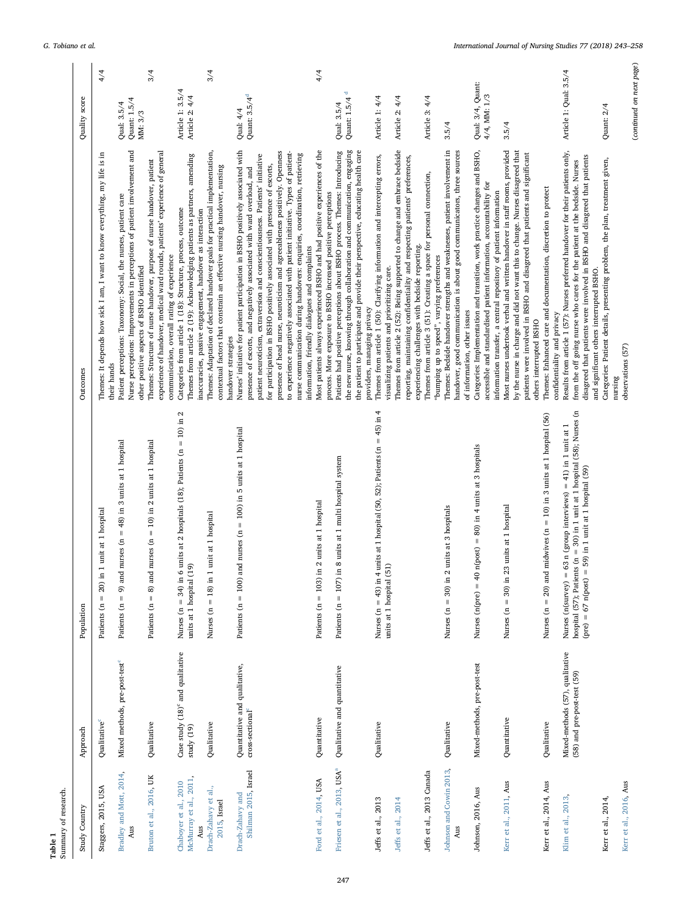<span id="page-4-0"></span>

| Summary of research.<br>Table 1                 |                                                                |                                                                                                                                                                                                                     |                                                                                                                                                                                                                                                                                                                                                                                                                                                                                         |                                          |
|-------------------------------------------------|----------------------------------------------------------------|---------------------------------------------------------------------------------------------------------------------------------------------------------------------------------------------------------------------|-----------------------------------------------------------------------------------------------------------------------------------------------------------------------------------------------------------------------------------------------------------------------------------------------------------------------------------------------------------------------------------------------------------------------------------------------------------------------------------------|------------------------------------------|
| Study Country                                   | Approach                                                       | Population                                                                                                                                                                                                          | Outcomes                                                                                                                                                                                                                                                                                                                                                                                                                                                                                | score<br>Quality                         |
| Staggers, 2015, USA                             | Qualitative <sup>c</sup>                                       | $= 20$ ) in 1 unit at 1 hospital<br>Patients (n                                                                                                                                                                     | Themes: It depends how sick I am, I want to know everything, my life is in<br>their hands                                                                                                                                                                                                                                                                                                                                                                                               | 4/4                                      |
| Bradley and Mott, 2014,<br>Aus                  | Mixed methods, pre-post-test <sup>c</sup>                      | $= 9$ ) and nurses (n $= 48$ ) in 3 units at 1 hospital<br>Patients (n                                                                                                                                              | Nurse perceptions: Improvements in perceptions of patient involvement and<br>Patient perceptions: Taxonomy: Social, the nurses, patient care<br>other positive aspects of BSHO identified                                                                                                                                                                                                                                                                                               | Quant: 1.5/4<br>Qual: 3.5/4<br>MM: 3/3   |
| Bruton et al., 2016, UK                         | Qualitative                                                    | $= 10$ ) in 2 units at 1 hospital<br>d nurses (n<br>$8)$ an<br>Patients $(n =$                                                                                                                                      | experience of handover, medical ward rounds, patients' experience of general<br>Themes: Structure of nurse handover, purpose of nurse handover, patient                                                                                                                                                                                                                                                                                                                                 | 3/4                                      |
| McMurray et al., 2011,<br>Chaboyer et al., 2010 | Case study (18) <sup>c</sup> and qualitative<br>study (19)     | 6 units at 2 hospitals (18); Patients ( $n = 10$ ) in 2<br>(19)<br>Nurses $(n = 34)$ in<br>units at 1 hospital                                                                                                      | Themes from article 2 (19): Acknowledging patients as partners, amending<br>Categories from article 1 (18): Structure, process, outcome<br>communication, overall rating of experience                                                                                                                                                                                                                                                                                                  | Article 1: 3.5/4<br>Article 2: 4/4       |
| Drach-Zahavy et al.,<br>2015, Israel<br>Aus     | Qualitative                                                    | 1 unit at 1 hospital<br>Nurses $(n = 18)$ in                                                                                                                                                                        | Themes: Adaptation of declared handover goals for practical implementation,<br>contextual factors that constrain an effective nursing handover, nursing<br>inaccuracies, passive engagement, handover as interaction<br>handover strategies                                                                                                                                                                                                                                             | 3/4                                      |
| Shilman 2015, Israel<br>Drach-Zahavy and        | Quantitative and qualitative,<br>cross-sectional <sup>c</sup>  | and nurses $(n = 100)$ in 5 units at 1 hospital<br>Patients $(n = 100)$                                                                                                                                             | Nurses' initiative for patient participation in BSHO positively associated with<br>presence of head nurse, neuroticism and agreeableness positively. Openness<br>to experience negatively associated with patient initiative. Types of patient-<br>patient neuroticism, extraversion and conscientiousness. Patients' initiative<br>for participation in BSHO positively associated with presence of escorts,<br>presence of escorts, and negatively associated with ward overload, and | Quant: 3.5/4 <sup>d</sup><br>Qual: 4/4   |
|                                                 |                                                                |                                                                                                                                                                                                                     | nurse communication during handovers: enquiries, coordination, retrieving<br>information, friendly dialogues and complaints                                                                                                                                                                                                                                                                                                                                                             |                                          |
| Ford et al., 2014, USA                          | Quantitative                                                   | in 2 units at 1 hospital<br>Patients ( $n = 103$ )                                                                                                                                                                  | Most patients always experienced BSHO and had positive experiences of the<br>process. More exposure to BSHO increased positive perceptions                                                                                                                                                                                                                                                                                                                                              | 4/4                                      |
| Friesen et al., 2013, USA <sup>a</sup>          | Qualitative and quantitative                                   | in 8 units at 1 multi hospital system<br>Patients ( $n = 107$ )                                                                                                                                                     | the new nurse, knowing through collaboration and communication, engaging<br>the patient to participate and provide their perspective, educating health care<br>Patients had positive perceptions about BSHO process. Themes: Introducing                                                                                                                                                                                                                                                | Quant: 1.5/4 <sup>d</sup><br>Qual: 3.5/4 |
| Jeffs et al., 2013                              | Qualitative                                                    | Nurses ( $n = 43$ ) in 4 units at 1 hospital (50, 52); Patients ( $n = 45$ ) in 4<br>(51)<br>units at 1 hospital                                                                                                    | Themes from article 1 (50): Clarifying information and intercepting errors,<br>visualizing patients and prioritizing care.<br>providers, managing privacy                                                                                                                                                                                                                                                                                                                               | Article 1: 4/4                           |
| Jeffs et al., 2014                              |                                                                |                                                                                                                                                                                                                     | Themes from article 2 (52): Being supported to change and embrace bedside<br>reporting, maintaining confidentiality and respecting patients' preferences,                                                                                                                                                                                                                                                                                                                               | Article 2: 4/4                           |
| Jeffs et al., 2013 Canada                       |                                                                |                                                                                                                                                                                                                     | Themes from article 3 (51): Creating a space for personal connection,<br>experiencing challenges with bedside reporting.<br>"bumping up to speed", varying preferences                                                                                                                                                                                                                                                                                                                  | Article 3: 4/4                           |
| Johnson and Cowin 2013,<br>Aus                  | Qualitative                                                    | 2 units at 3 hospitals<br>Nurses $(n = 30)$ in                                                                                                                                                                      | Themes: Bedside handover strengths and weaknesses, patient involvement in<br>handover, good communication is about good communicators, three sources<br>of information, other issues                                                                                                                                                                                                                                                                                                    | 3.5/4                                    |
| Johnson, 2016, Aus                              | Mixed-methods, pre-post-test                                   | $40 \text{ n}(\text{post}) = 80$ ) in 4 units at 3 hospitals<br>Nurses $(n(\text{pre}) =$                                                                                                                           | Categories: Implementation and transition, work practice changes and BSHO,<br>accessible and standardised patient information, accountability for                                                                                                                                                                                                                                                                                                                                       | Qual: 3/4, Quant:<br>4/4, MM: $1/3$      |
| Kerr et al., 2011, Aus                          | Quantitative                                                   | 23 units at 1 hospital<br>Nurses $(n = 30)$ in                                                                                                                                                                      | by the nurse in charge and did not want this to change. Nurses disagreed that<br>Most nurses undertook verbal and written handover in staff rooms, provided<br>patients were involved in BSHO and disagreed that patients and significant<br>information transfer, a central repository of patient information<br>others interrupted BSHO                                                                                                                                               | 3.5/4                                    |
| Kerr et al., 2014, Aus                          | Qualitative                                                    | Nurses ( $n = 20$ ) and midwives ( $n = 10$ ) in 3 units at 1 hospital (56)                                                                                                                                         | Themes: Enhanced care and documentation, discretion to protect                                                                                                                                                                                                                                                                                                                                                                                                                          |                                          |
| Klim et al., 2013,                              | Mixed-methods (57), qualitative<br>(58) and pre-post-test (59) | Nurses (n(survey) = 63 n (group interviews) = 41) in 1 unit at 1 hospital (57); Patients (n = 30) in 1 unit at 1 hospital (58); Nurses (n<br>$= 59$ ) in 1 unit at 1 hospital $(59)$<br>$(\text{pre}) = 67$ n(post) | Results from article 1 (57): Nurses preferred handover for their patients only,<br>disagreed that patients were involved in BSHO and disagreed that patients<br>from the off going nurse who cares for the patient at the bedside. Nurses<br>and significant others interrupted BSHO.<br>confidentiality and privacy                                                                                                                                                                    | Article 1: Qual: 3.5/4                   |
| Kerr et al., 2016, Aus<br>Kerr et al., 2014,    |                                                                |                                                                                                                                                                                                                     | Categories: Patient details, presenting problem, the plan, treatment given,<br>observations (57)                                                                                                                                                                                                                                                                                                                                                                                        | Quant: 2/4                               |
|                                                 |                                                                |                                                                                                                                                                                                                     |                                                                                                                                                                                                                                                                                                                                                                                                                                                                                         | (continued on next page)                 |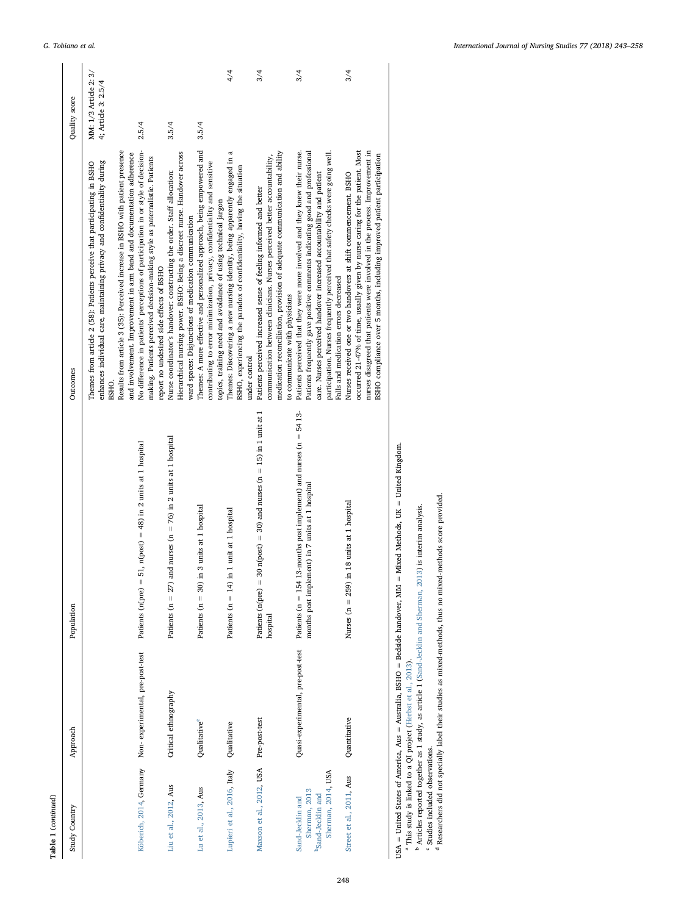<span id="page-5-3"></span><span id="page-5-2"></span>

| Table 1 (continued)                                                                      |                                 |                                                                                                                                                         |                                                                                                                                                                                                                                                                                                                                                              |                                              |
|------------------------------------------------------------------------------------------|---------------------------------|---------------------------------------------------------------------------------------------------------------------------------------------------------|--------------------------------------------------------------------------------------------------------------------------------------------------------------------------------------------------------------------------------------------------------------------------------------------------------------------------------------------------------------|----------------------------------------------|
| Study Country                                                                            | Approach                        | Population                                                                                                                                              | Outcomes                                                                                                                                                                                                                                                                                                                                                     | Quality score                                |
|                                                                                          |                                 |                                                                                                                                                         | enhances individual care, maintaining privacy and confidentiality during<br>Themes from article 2 (58): Patients perceive that participating in BSHO<br>BSHO                                                                                                                                                                                                 | MM: 1/3 Article 2: 3/<br>4; Article 3: 2.5/4 |
|                                                                                          |                                 |                                                                                                                                                         | Results from article 3 (35): Perceived increase in BSHO with patient presence<br>and involvement. Improvement in arm band and documentation adherence                                                                                                                                                                                                        |                                              |
| Köberich, 2014, Germany                                                                  | Non-experimental, pre-post-test | 51, $n(post) = 48$ ) in 2 units at 1 hospital<br>Patients (n(pre) =                                                                                     | No difference in patients' perceptions of participation in or style of decision-<br>making. Patients perceived decision-making style as paternalistic. Patients<br>report no undesired side effects of BSHO                                                                                                                                                  | 2.5/4                                        |
| Liu et al., 2012, Aus                                                                    | Critical ethnography            | Patients ( $n = 27$ ) and nurses ( $n = 76$ ) in 2 units at 1 hospital                                                                                  | Hierarchical nursing power. BSHO: Being a discreet nurse. Handover across<br>Nurse coordinator's handover: constructing the order. Staff allocation:<br>ward spaces: Disjunctions of medication communication                                                                                                                                                | 3.5/4                                        |
| Lu et al., 2013, Aus                                                                     | Qualitative                     | Patients $(n = 30)$ in 3 units at 1 hospital                                                                                                            | Themes: A more effective and personalized approach, being empowered and<br>contributing to error minimization, privacy, confidentiality and sensitive<br>topics, training need and avoidance of using technical jargon                                                                                                                                       | 3.5/4                                        |
| Lupieri et al., 2016, Italy                                                              | Qualitative                     | Patients $(n = 14)$ in 1 unit at 1 hospital                                                                                                             | Themes: Discovering a new nursing identity, being apparently engaged in a<br>BSHO, experiencing the paradox of confidentiality, having the situation<br>under control                                                                                                                                                                                        | 4/4                                          |
| Maxson et al., 2012, USA Pre-post-test                                                   |                                 | 30 $n(post) = 30$ ) and nurses $(n = 15)$ in 1 unit at 1<br>Patients $(n(\text{pre}) =$<br>hospital                                                     | medication reconciliation, provision of adequate communication and ability<br>communication between clinicians. Nurses perceived better accountability,<br>Patients perceived increased sense of feeling informed and better<br>to communicate with physicians                                                                                               | 3/4                                          |
| Sherman, 2014, USA<br>Sherman, 2013<br>b <sub>Sand-Jecklin</sub> and<br>Sand-Jecklin and |                                 | Quasi-experimental, pre-post-test Patients (n = 154 13-months post implement) and nurses (n = 54 13-<br>months post implement) in 7 units at 1 hospital | Patients frequently gave positive comments indicating good and professional<br>Patients perceived that they were more involved and they knew their nurse.<br>participation. Nurses frequently perceived that safety checks were going well.<br>care. Nurses perceived handover increased accountability and patient<br>Falls and medication errors decreased | 3/4                                          |
| Street et al., 2011, Aus                                                                 | Quantitative                    | Nurses ( $n = 259$ ) in 18 units at 1 hospital                                                                                                          | occurred 21-47% of time, usually given by nurse caring for the patient. Most<br>nurses disagreed that patients were involved in the process. Improvement in<br>BSHO compliance over 5 months, including improved patient participation<br>Nurses received one or two handovers at shift commencement. BSHO                                                   | 3/4                                          |

<span id="page-5-1"></span><span id="page-5-0"></span>USA = United States of America, Aus = Australia, BSHO = Bedside handover, MM = Mixed Methods, UK = United Kingdom.

USA = United States of America, Aus = Australia, BSHO = Bedside handover, MM = Mixed Methods, UK = United Kingdom<br><sup>a</sup> This study is linked to a QI project ([Herbst](#page-14-38) et al., 2013).<br><sup>b</sup> Articles reported together as 1 study, a <sup>a</sup> This study is linked to a QJ project (Herbst et al., 2013).<br>
b Articles reported together as 1 study, as article 1 (Sand-Jecklin and Sherman, 2013) is interim analysis.<br>
" Studies included observations.<br>
<sup>d</sup> Researche

Researchers did not specially label their studies as mixed-methods, thus no mixed-methods score provided.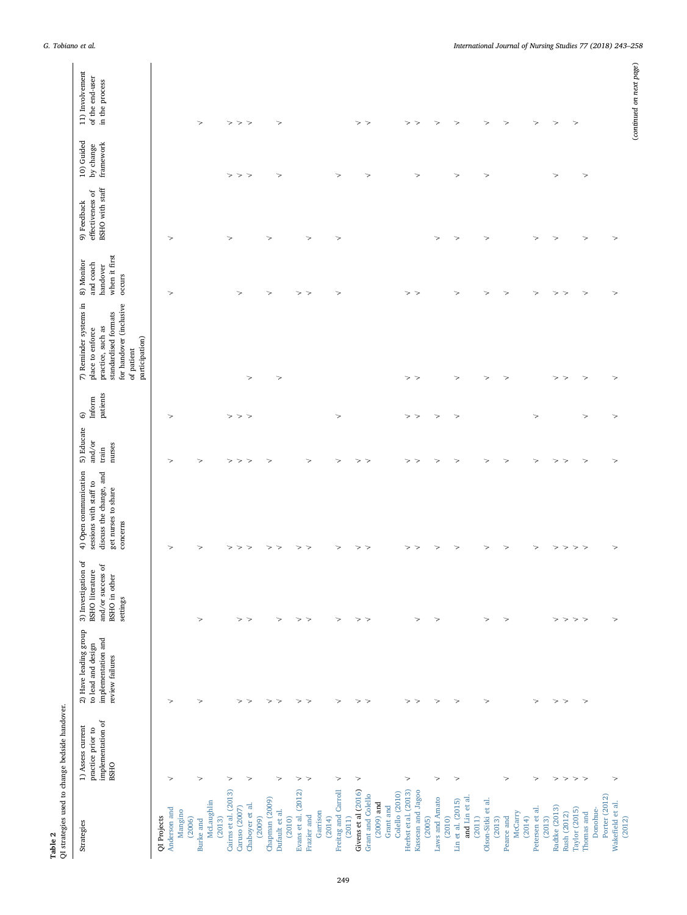<span id="page-6-0"></span>

| Table 2                                | QI strategies used to change bedside handover.                             |                                                                                      |                                                                                          |                                                                                                               |                                                             |                         |                                                                                                                                                    |                                                                |                                                    |                                      |                                                      |
|----------------------------------------|----------------------------------------------------------------------------|--------------------------------------------------------------------------------------|------------------------------------------------------------------------------------------|---------------------------------------------------------------------------------------------------------------|-------------------------------------------------------------|-------------------------|----------------------------------------------------------------------------------------------------------------------------------------------------|----------------------------------------------------------------|----------------------------------------------------|--------------------------------------|------------------------------------------------------|
| Strategies                             | implementation of<br>1) Assess current<br>practice prior to<br><b>BSHO</b> | 2) Have leading group<br>implementation and<br>to lead and design<br>review failures | 3) Investigation of<br>and/or success of<br>BSHO literature<br>BSHO in other<br>settings | 4) Open communication<br>discuss the change, and<br>sessions with staff to<br>get nurses to share<br>concerns | 5) Educate<br>$\mathrm{and}/\mathrm{or}$<br>nurses<br>train | patients<br>Inform<br>6 | 7) Reminder systems in<br>for handover (inclusive<br>standardised formats<br>practice, such as<br>place to enforce<br>participation)<br>of patient | when it first<br>8) Monitor<br>and coach<br>handover<br>occurs | BSHO with staff<br>effectiveness of<br>9) Feedback | 10) Guided<br>framework<br>by change | 11) Involvement<br>of the end-user<br>in the process |
| QI Projects                            |                                                                            |                                                                                      |                                                                                          |                                                                                                               |                                                             |                         |                                                                                                                                                    |                                                                |                                                    |                                      |                                                      |
| Anderson and                           | >                                                                          | >                                                                                    |                                                                                          | ↘                                                                                                             | $\Rightarrow$                                               | $\Rightarrow$           |                                                                                                                                                    | $\Rightarrow$                                                  | >                                                  |                                      |                                                      |
| Mangino<br>(2006)                      |                                                                            |                                                                                      |                                                                                          |                                                                                                               |                                                             |                         |                                                                                                                                                    |                                                                |                                                    |                                      |                                                      |
| Burke and                              | $\Rightarrow$                                                              | $\Rightarrow$                                                                        | $\Rightarrow$                                                                            | $\rightarrow$                                                                                                 | $\Rightarrow$                                               |                         |                                                                                                                                                    |                                                                |                                                    |                                      | >                                                    |
| McLaughlin                             |                                                                            |                                                                                      |                                                                                          |                                                                                                               |                                                             |                         |                                                                                                                                                    |                                                                |                                                    |                                      |                                                      |
| (2013)                                 |                                                                            |                                                                                      |                                                                                          |                                                                                                               |                                                             |                         |                                                                                                                                                    |                                                                |                                                    |                                      |                                                      |
| Cairns et al. (2013)                   | $\!>$                                                                      | $\Rightarrow$                                                                        |                                                                                          | $\rightarrow$<br>$\mathbf{L}$                                                                                 | $\rightarrow$<br>$\mathbf{L}$                               | $>$ $>$ $>$             |                                                                                                                                                    | ⋗                                                              | >                                                  | $>$ $>$ $>$                          | $>$ $>$ $>$                                          |
| Chaboyer et al.<br>Caruso (2007)       | $\Rightarrow$                                                              | $\Rightarrow$                                                                        | $>$ $>$                                                                                  | $\geq$                                                                                                        | $\Rightarrow$                                               |                         | $\!>$                                                                                                                                              |                                                                |                                                    |                                      |                                                      |
| (2009)                                 |                                                                            |                                                                                      |                                                                                          |                                                                                                               |                                                             |                         |                                                                                                                                                    |                                                                |                                                    |                                      |                                                      |
| Chapman (2009)                         |                                                                            | $\!>$                                                                                |                                                                                          | >                                                                                                             | ⋗                                                           |                         |                                                                                                                                                    | $\Rightarrow$                                                  | ⋗                                                  |                                      |                                                      |
| Dufault et al.                         | $\rightarrow$                                                              | $\Rightarrow$                                                                        | >                                                                                        | $\mathbf{L}$                                                                                                  |                                                             |                         | $\Rightarrow$                                                                                                                                      |                                                                |                                                    | $\rightarrow$                        | $\Rightarrow$                                        |
| (2010)                                 |                                                                            |                                                                                      |                                                                                          |                                                                                                               |                                                             |                         |                                                                                                                                                    |                                                                |                                                    |                                      |                                                      |
| Evans et al. (2012)<br>Frazier and     | $\geq$<br>$\Rightarrow$                                                    | $\!>$<br>$\!>$                                                                       | $\!>$<br>$\!>$                                                                           | $\geq$<br>$\geq$                                                                                              | $\Rightarrow$                                               |                         |                                                                                                                                                    | $>$ $>$                                                        | $\Rightarrow$                                      |                                      |                                                      |
| Garrison                               |                                                                            |                                                                                      |                                                                                          |                                                                                                               |                                                             |                         |                                                                                                                                                    |                                                                |                                                    |                                      |                                                      |
| (2014)                                 |                                                                            |                                                                                      |                                                                                          |                                                                                                               |                                                             |                         |                                                                                                                                                    |                                                                |                                                    |                                      |                                                      |
| Freitag and Carroll                    | $\!>$                                                                      | $\Rightarrow$                                                                        | $\Rightarrow$                                                                            | $\Rightarrow$                                                                                                 | $\Rightarrow$                                               | ⋗                       |                                                                                                                                                    | $\Rightarrow$                                                  | $\Rightarrow$                                      | $\Rightarrow$                        |                                                      |
| (2011)                                 |                                                                            |                                                                                      |                                                                                          |                                                                                                               |                                                             |                         |                                                                                                                                                    |                                                                |                                                    |                                      |                                                      |
| Givens et al (2016)                    | $\!>$                                                                      | $\!>$                                                                                | $>$ $>$                                                                                  | $\Rightarrow$                                                                                                 | $\Rightarrow$                                               |                         |                                                                                                                                                    |                                                                |                                                    |                                      | $\mathbf{L}$                                         |
| Grant and Colello                      |                                                                            | $\!>$                                                                                |                                                                                          | $\Rightarrow$                                                                                                 | $\Rightarrow$                                               |                         |                                                                                                                                                    |                                                                |                                                    | $\Rightarrow$                        | $\Rightarrow$                                        |
| $(2009)$ and                           |                                                                            |                                                                                      |                                                                                          |                                                                                                               |                                                             |                         |                                                                                                                                                    |                                                                |                                                    |                                      |                                                      |
| Grant and                              |                                                                            |                                                                                      |                                                                                          |                                                                                                               |                                                             |                         |                                                                                                                                                    |                                                                |                                                    |                                      |                                                      |
| Herbst et al. (2013)<br>Colello (2010) | $\!>$                                                                      | $\Rightarrow$                                                                        |                                                                                          | >                                                                                                             | $\!{\bf >}$                                                 | >                       |                                                                                                                                                    | >                                                              |                                                    |                                      | $\Rightarrow$                                        |
| Kassean and Jagoo                      |                                                                            | $\!>$                                                                                | $\Rightarrow$                                                                            | >                                                                                                             | $\Rightarrow$                                               | $\,>$                   | $>$ $>$                                                                                                                                            | ⋗                                                              |                                                    | $\Rightarrow$                        | $\Rightarrow$                                        |
| (2005)                                 |                                                                            |                                                                                      |                                                                                          |                                                                                                               |                                                             |                         |                                                                                                                                                    |                                                                |                                                    |                                      |                                                      |
| Laws and Amato                         | $\!>$                                                                      | $\mathbf{I}$                                                                         | $\Rightarrow$                                                                            | $\Rightarrow$                                                                                                 | $\Rightarrow$                                               | $\!>$                   |                                                                                                                                                    |                                                                | >                                                  |                                      | $\Rightarrow$                                        |
| (2010)                                 |                                                                            |                                                                                      |                                                                                          |                                                                                                               |                                                             |                         |                                                                                                                                                    |                                                                |                                                    |                                      |                                                      |
| and Lin et al.<br>Lin et al. (2015)    | $\!>$                                                                      | $\!>$                                                                                |                                                                                          | $\Rightarrow$                                                                                                 | $\Rightarrow$                                               | $\Rightarrow$           | $\!>$                                                                                                                                              | $\Rightarrow$                                                  | $\Rightarrow$                                      | $\Rightarrow$                        | $\Rightarrow$                                        |
| (2011)                                 |                                                                            |                                                                                      |                                                                                          |                                                                                                               |                                                             |                         |                                                                                                                                                    |                                                                |                                                    |                                      |                                                      |
| Olson-Sitki et al.                     |                                                                            | $\Rightarrow$                                                                        | $\Rightarrow$                                                                            | $\Rightarrow$                                                                                                 | $\Rightarrow$                                               |                         | $\Rightarrow$                                                                                                                                      | $\Rightarrow$                                                  | >                                                  | $\Rightarrow$                        | >                                                    |
| (2013)                                 |                                                                            |                                                                                      |                                                                                          |                                                                                                               |                                                             |                         |                                                                                                                                                    |                                                                |                                                    |                                      |                                                      |
| Pearce and                             | $\Rightarrow$                                                              |                                                                                      | $\Rightarrow$                                                                            | $\Rightarrow$                                                                                                 | $\Rightarrow$                                               |                         | $\Rightarrow$                                                                                                                                      | $\rightarrow$                                                  |                                                    |                                      | $\Rightarrow$                                        |
| McCarry<br>(2014)                      |                                                                            |                                                                                      |                                                                                          |                                                                                                               |                                                             |                         |                                                                                                                                                    |                                                                |                                                    |                                      |                                                      |
| Petersen et al.                        | $\Rightarrow$                                                              | $\Rightarrow$                                                                        |                                                                                          | $\Rightarrow$                                                                                                 | $\mathbf{I}$                                                | $\Rightarrow$           |                                                                                                                                                    | >                                                              | >                                                  |                                      | $\Rightarrow$                                        |
| (2013)                                 |                                                                            |                                                                                      |                                                                                          |                                                                                                               |                                                             |                         |                                                                                                                                                    |                                                                |                                                    |                                      |                                                      |
| Radtke (2013)                          | $\!>$                                                                      | $\!>$                                                                                |                                                                                          | >                                                                                                             | $\Rightarrow$                                               |                         | $\rightarrow$                                                                                                                                      | $\Rightarrow$                                                  | >                                                  | $\Rightarrow$                        | $\!>$                                                |
| Rush (2012)                            | $\!>$                                                                      | $\!>$                                                                                | $>$ $>$                                                                                  | $\!>$                                                                                                         | $\Rightarrow$                                               |                         | $\Rightarrow$                                                                                                                                      | $\mathbf{L}$                                                   |                                                    |                                      |                                                      |
| Taylor (2015)                          | $>$ $>$                                                                    |                                                                                      | $>$ $>$                                                                                  | $>$ $>$                                                                                                       |                                                             |                         |                                                                                                                                                    |                                                                |                                                    |                                      | $\Rightarrow$                                        |
| Thomas and                             |                                                                            | $\Rightarrow$                                                                        |                                                                                          |                                                                                                               | $\Rightarrow$                                               | $\Rightarrow$           | $\Rightarrow$                                                                                                                                      | $\Rightarrow$                                                  | $\Rightarrow$                                      | $\Rightarrow$                        |                                                      |
| Porter (2012)<br>Donohue-              |                                                                            |                                                                                      |                                                                                          |                                                                                                               |                                                             |                         |                                                                                                                                                    |                                                                |                                                    |                                      |                                                      |
| Wakefield et al.                       | $\!>$                                                                      |                                                                                      | >                                                                                        | $\Rightarrow$                                                                                                 | $\Rightarrow$                                               | $\Rightarrow$           | >                                                                                                                                                  | >                                                              | ⋗                                                  |                                      |                                                      |
| (2012)                                 |                                                                            |                                                                                      |                                                                                          |                                                                                                               |                                                             |                         |                                                                                                                                                    |                                                                |                                                    |                                      |                                                      |
|                                        |                                                                            |                                                                                      |                                                                                          |                                                                                                               |                                                             |                         |                                                                                                                                                    |                                                                |                                                    |                                      | (continued on next page)                             |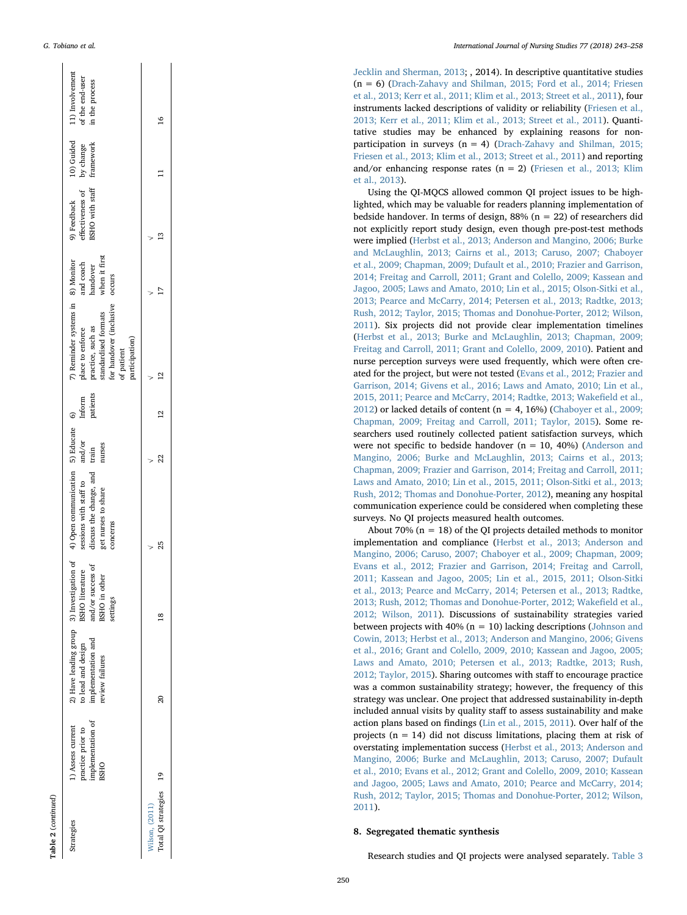| Table 2 (continued)                      |                                                                            |                                                                                                          |                                                                   |                                                                                                                             |                                               |                    |                                                                                                                                                               |                                                  |                                                    |                                      |                                                      |
|------------------------------------------|----------------------------------------------------------------------------|----------------------------------------------------------------------------------------------------------|-------------------------------------------------------------------|-----------------------------------------------------------------------------------------------------------------------------|-----------------------------------------------|--------------------|---------------------------------------------------------------------------------------------------------------------------------------------------------------|--------------------------------------------------|----------------------------------------------------|--------------------------------------|------------------------------------------------------|
| Strategies                               | implementation of<br>1) Assess current<br>practice prior to<br><b>BSHO</b> | 2) Have leading group 3) Investigation of<br>implementation and<br>to lead and design<br>review failures | and/or success of<br>BSHO literature<br>BSHO in other<br>settings | 4) Open communication 5) Educate 6)<br>discuss the change, and<br>sessions with staff to<br>get nurses to share<br>concerns | $\mathrm{and}/\mathrm{or}$<br>nurses<br>train | Inform<br>patients | 7) Reminder systems in 8) Monitor<br>for handover (inclusive<br>standardised formats<br>practice, such as<br>place to enforce<br>participation)<br>of patient | when it first<br>and coach<br>handover<br>occurs | BSHO with staff<br>effectiveness of<br>9) Feedback | 10) Guided<br>framework<br>by change | 11) Involvement<br>of the end-user<br>in the process |
| Total QI strategies 19<br>Wilson, (2011) |                                                                            | 20                                                                                                       |                                                                   | 25                                                                                                                          | 22                                            |                    | 22                                                                                                                                                            |                                                  |                                                    |                                      | $\frac{6}{2}$                                        |
|                                          |                                                                            |                                                                                                          |                                                                   |                                                                                                                             |                                               |                    |                                                                                                                                                               |                                                  |                                                    |                                      |                                                      |

[Jecklin and Sherman, 2013](#page-14-30); , 2014). In descriptive quantitative studies (n = 6) ([Drach-Zahavy and Shilman, 2015; Ford et al., 2014; Friesen](#page-13-11) [et al., 2013; Kerr et al., 2011; Klim et al., 2013; Street et al., 2011\)](#page-13-11), four instruments lacked descriptions of validity or reliability ([Friesen et al.,](#page-13-13) [2013; Kerr et al., 2011; Klim et al., 2013; Street et al., 2011\)](#page-13-13). Quantitative studies may be enhanced by explaining reasons for nonparticipation in surveys  $(n = 4)$  ([Drach-Zahavy and Shilman, 2015;](#page-13-11) [Friesen et al., 2013; Klim et al., 2013; Street et al., 2011](#page-13-11)) and reporting and/or enhancing response rates  $(n = 2)$  [\(Friesen et al., 2013; Klim](#page-13-13) [et al., 2013](#page-13-13)).

Using the QI-MQCS allowed common QI project issues to be highlighted, which may be valuable for readers planning implementation of bedside handover. In terms of design,  $88\%$  (n = 22) of researchers did not explicitly report study design, even though pre-post-test methods were implied [\(Herbst et al., 2013; Anderson and Mangino, 2006; Burke](#page-14-38) [and McLaughlin, 2013; Cairns et al., 2013; Caruso, 2007; Chaboyer](#page-14-38) [et al., 2009; Chapman, 2009; Dufault et al., 2010; Frazier and Garrison,](#page-14-38) [2014; Freitag and Carroll, 2011; Grant and Colello, 2009; Kassean and](#page-14-38) [Jagoo, 2005; Laws and Amato, 2010; Lin et al., 2015; Olson-Sitki et al.,](#page-14-38) [2013; Pearce and McCarry, 2014; Petersen et al., 2013; Radtke, 2013;](#page-14-38) [Rush, 2012; Taylor, 2015; Thomas and Donohue-Porter, 2012; Wilson,](#page-14-38) [2011\)](#page-14-38). Six projects did not provide clear implementation timelines ([Herbst et al., 2013; Burke and McLaughlin, 2013; Chapman, 2009;](#page-14-38) [Freitag and Carroll, 2011; Grant and Colello, 2009, 2010](#page-14-38)). Patient and nurse perception surveys were used frequently, which were often created for the project, but were not tested [\(Evans et al., 2012; Frazier and](#page-13-21) [Garrison, 2014; Givens et al., 2016; Laws and Amato, 2010; Lin et al.,](#page-13-21) [2015, 2011; Pearce and McCarry, 2014; Radtke, 2013; Wake](#page-13-21) field et al., [2012\)](#page-13-21) or lacked details of content ( $n = 4$ , 16%) ([Chaboyer et al., 2009;](#page-13-18) [Chapman, 2009; Freitag and Carroll, 2011; Taylor, 2015](#page-13-18)). Some researchers used routinely collected patient satisfaction surveys, which were not speci fic to bedside handover (n = 10, 40%) ([Anderson and](#page-13-14) [Mangino, 2006; Burke and McLaughlin, 2013; Cairns et al., 2013;](#page-13-14) [Chapman, 2009; Frazier and Garrison, 2014; Freitag and Carroll, 2011;](#page-13-14) [Laws and Amato, 2010; Lin et al., 2015, 2011; Olson-Sitki et al., 2013;](#page-13-14) [Rush, 2012; Thomas and Donohue-Porter, 2012\)](#page-13-14), meaning any hospital communication experience could be considered when completing these surveys. No QI projects measured health outcomes.

About 70% ( $n = 18$ ) of the QI projects detailed methods to monitor implementation and compliance ([Herbst et al., 2013; Anderson and](#page-14-38) [Mangino, 2006; Caruso, 2007; Chaboyer et al., 2009; Chapman, 2009;](#page-14-38) [Evans et al., 2012; Frazier and Garrison, 2014; Freitag and Carroll,](#page-14-38) [2011; Kassean and Jagoo, 2005; Lin et al., 2015, 2011; Olson-Sitki](#page-14-38) [et al., 2013; Pearce and McCarry, 2014; Petersen et al., 2013; Radtke,](#page-14-38) [2013; Rush, 2012; Thomas and Donohue-Porter, 2012; Wake](#page-14-38) field et al., [2012; Wilson, 2011](#page-14-38)). Discussions of sustainability strategies varied between projects with 40% ( $n = 10$ ) lacking descriptions [\(Johnson and](#page-14-23) [Cowin, 2013; Herbst et al., 2013; Anderson and Mangino, 2006; Givens](#page-14-23) [et al., 2016; Grant and Colello, 2009, 2010; Kassean and Jagoo, 2005;](#page-14-23) [Laws and Amato, 2010; Petersen et al., 2013; Radtke, 2013; Rush,](#page-14-23) [2012; Taylor, 2015](#page-14-23)). Sharing outcomes with sta ff to encourage practice was a common sustainability strategy; however, the frequency of this strategy was unclear. One project that addressed sustainability in-depth included annual visits by quality sta ff to assess sustainability and make action plans based on findings ([Lin et al., 2015, 2011](#page-14-41)). Over half of the projects ( $n = 14$ ) did not discuss limitations, placing them at risk of overstating implementation success ([Herbst et al., 2013; Anderson and](#page-14-38) [Mangino, 2006; Burke and McLaughlin, 2013; Caruso, 2007; Dufault](#page-14-38) [et al., 2010; Evans et al., 2012; Grant and Colello, 2009, 2010; Kassean](#page-14-38) [and Jagoo, 2005; Laws and Amato, 2010; Pearce and McCarry, 2014;](#page-14-38) [Rush, 2012; Taylor, 2015; Thomas and Donohue-Porter, 2012; Wilson,](#page-14-38) [2011\)](#page-14-38).

#### 8. Segregated thematic synthesis

Research studies and QI projects were analysed separately. [Table](#page-8-0) 3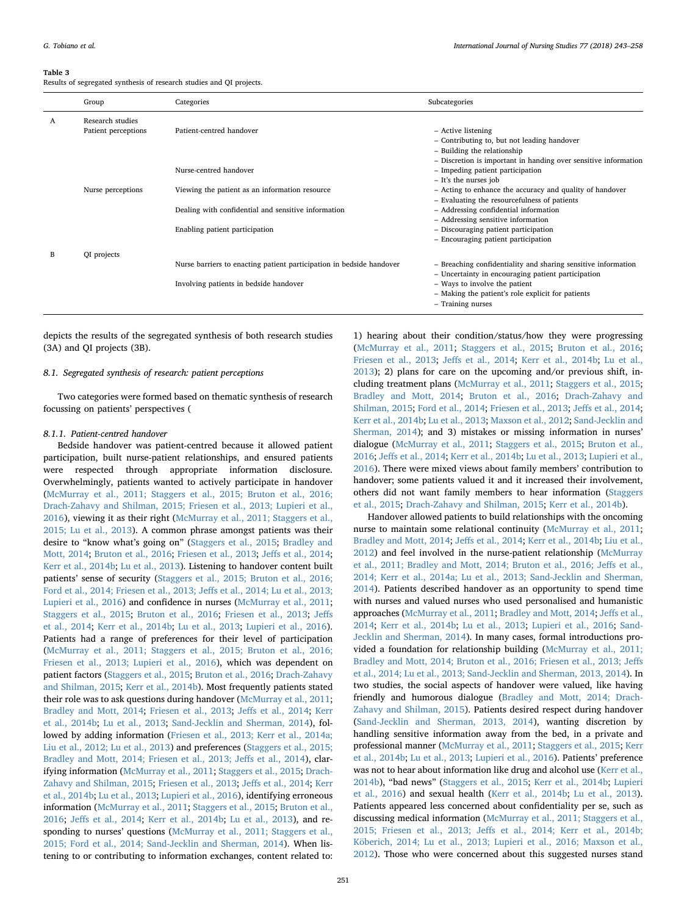#### <span id="page-8-0"></span>Table 3

Results of segregated synthesis of research studies and QI projects.

|   | Group               | Categories                                                           | Subcategories                                                   |
|---|---------------------|----------------------------------------------------------------------|-----------------------------------------------------------------|
| A | Research studies    |                                                                      |                                                                 |
|   | Patient perceptions | Patient-centred handover                                             | - Active listening                                              |
|   |                     |                                                                      | - Contributing to, but not leading handover                     |
|   |                     |                                                                      | - Building the relationship                                     |
|   |                     |                                                                      | - Discretion is important in handing over sensitive information |
|   |                     | Nurse-centred handover                                               | - Impeding patient participation                                |
|   |                     |                                                                      | - It's the nurses job                                           |
|   | Nurse perceptions   | Viewing the patient as an information resource                       | - Acting to enhance the accuracy and quality of handover        |
|   |                     |                                                                      | - Evaluating the resourcefulness of patients                    |
|   |                     | Dealing with confidential and sensitive information                  | - Addressing confidential information                           |
|   |                     |                                                                      | - Addressing sensitive information                              |
|   |                     | Enabling patient participation                                       | - Discouraging patient participation                            |
|   |                     |                                                                      | - Encouraging patient participation                             |
| B | QI projects         |                                                                      |                                                                 |
|   |                     | Nurse barriers to enacting patient participation in bedside handover | - Breaching confidentiality and sharing sensitive information   |
|   |                     |                                                                      | - Uncertainty in encouraging patient participation              |
|   |                     | Involving patients in bedside handover                               | - Ways to involve the patient                                   |
|   |                     |                                                                      | - Making the patient's role explicit for patients               |
|   |                     |                                                                      | - Training nurses                                               |

depicts the results of the segregated synthesis of both research studies (3A) and QI projects (3B).

#### 8.1. Segregated synthesis of research: patient perceptions

Two categories were formed based on thematic synthesis of research focussing on patients' perspectives (

#### 8.1.1. Patient-centred handover

Bedside handover was patient-centred because it allowed patient participation, built nurse-patient relationships, and ensured patients were respected through appropriate information disclosure. Overwhelmingly, patients wanted to actively participate in handover ([McMurray et al., 2011; Staggers et al., 2015; Bruton et al., 2016;](#page-14-22) [Drach-Zahavy and Shilman, 2015; Friesen et al., 2013; Lupieri et al.,](#page-14-22) [2016\)](#page-14-22), viewing it as their right ([McMurray et al., 2011; Staggers et al.,](#page-14-22) [2015; Lu et al., 2013\)](#page-14-22). A common phrase amongst patients was their desire to "know what's going on" ([Staggers et al., 2015](#page-14-50); [Bradley and](#page-13-10) [Mott, 2014](#page-13-10); [Bruton et al., 2016](#page-13-8); [Friesen et al., 2013](#page-13-13); Jeff[s et al., 2014](#page-14-31); [Kerr et al., 2014b](#page-14-25); [Lu et al., 2013](#page-14-26)). Listening to handover content built patients' sense of security ([Staggers et al., 2015; Bruton et al., 2016;](#page-14-50) [Ford et al., 2014; Friesen et al., 2013; Je](#page-14-50)ffs et al., 2014; Lu et al., 2013; [Lupieri et al., 2016](#page-14-50)) and confidence in nurses [\(McMurray et al., 2011](#page-14-22); [Staggers et al., 2015](#page-14-50); [Bruton et al., 2016](#page-13-8); [Friesen et al., 2013;](#page-13-13) [Je](#page-14-31)ffs [et al., 2014](#page-14-31); [Kerr et al., 2014b](#page-14-25); [Lu et al., 2013](#page-14-26); [Lupieri et al., 2016](#page-14-35)). Patients had a range of preferences for their level of participation ([McMurray et al., 2011; Staggers et al., 2015; Bruton et al., 2016;](#page-14-22) [Friesen et al., 2013; Lupieri et al., 2016\)](#page-14-22), which was dependent on patient factors [\(Staggers et al., 2015;](#page-14-50) [Bruton et al., 2016](#page-13-8); [Drach-Zahavy](#page-13-11) [and Shilman, 2015](#page-13-11); [Kerr et al., 2014b](#page-14-25)). Most frequently patients stated their role was to ask questions during handover [\(McMurray et al., 2011](#page-14-22); [Bradley and Mott, 2014](#page-13-10); [Friesen et al., 2013;](#page-13-13) Jeff[s et al., 2014;](#page-14-31) [Kerr](#page-14-25) [et al., 2014b](#page-14-25); Lu [et al., 2013;](#page-14-26) [Sand-Jecklin and Sherman, 2014](#page-14-36)), followed by adding information [\(Friesen et al., 2013; Kerr et al., 2014a;](#page-13-13) [Liu et al., 2012; Lu et al., 2013\)](#page-13-13) and preferences [\(Staggers et al., 2015;](#page-14-50) [Bradley and Mott, 2014; Friesen et al., 2013; Je](#page-14-50)ffs et al., 2014), clarifying information ([McMurray et al., 2011](#page-14-22); [Staggers et al., 2015;](#page-14-50) [Drach-](#page-13-11)[Zahavy and Shilman, 2015;](#page-13-11) [Friesen et al., 2013](#page-13-13); Jeff[s et al., 2014;](#page-14-31) [Kerr](#page-14-25) [et al., 2014b](#page-14-25); [Lu et al., 2013;](#page-14-26) [Lupieri et al., 2016](#page-14-35)), identifying erroneous information ([McMurray et al., 2011;](#page-14-22) [Staggers et al., 2015;](#page-14-50) [Bruton et al.,](#page-13-8) [2016;](#page-13-8) Jeff[s et al., 2014;](#page-14-31) [Kerr et al., 2014b;](#page-14-25) [Lu et al., 2013\)](#page-14-26), and responding to nurses' questions [\(McMurray et al., 2011; Staggers et al.,](#page-14-22) [2015; Ford et al., 2014; Sand-Jecklin and Sherman, 2014](#page-14-22)). When listening to or contributing to information exchanges, content related to:

1) hearing about their condition/status/how they were progressing ([McMurray et al., 2011;](#page-14-22) [Staggers et al., 2015](#page-14-50); [Bruton et al., 2016](#page-13-8); [Friesen et al., 2013](#page-13-13); Jeff[s et al., 2014;](#page-14-31) [Kerr et al., 2014b](#page-14-25); [Lu et al.,](#page-14-26) [2013\)](#page-14-26); 2) plans for care on the upcoming and/or previous shift, including treatment plans [\(McMurray et al., 2011](#page-14-22); [Staggers et al., 2015](#page-14-50); [Bradley and Mott, 2014;](#page-13-10) [Bruton et al., 2016](#page-13-8); [Drach-Zahavy and](#page-13-11) [Shilman, 2015;](#page-13-11) [Ford et al., 2014;](#page-13-12) [Friesen et al., 2013;](#page-13-13) Jeff[s et al., 2014](#page-14-31); [Kerr et al., 2014b](#page-14-25); [Lu et al., 2013](#page-14-26); Maxson [et al., 2012;](#page-14-29) [Sand-Jecklin and](#page-14-36) [Sherman, 2014\)](#page-14-36); and 3) mistakes or missing information in nurses' dialogue [\(McMurray et al., 2011;](#page-14-22) [Staggers et al., 2015](#page-14-50); [Bruton et al.,](#page-13-8) [2016;](#page-13-8) Jeff[s et al., 2014;](#page-14-31) [Kerr et al., 2014b](#page-14-25); [Lu et al., 2013;](#page-14-26) [Lupieri et al.,](#page-14-35) [2016\)](#page-14-35). There were mixed views about family members' contribution to handover; some patients valued it and it increased their involvement, others did not want family members to hear information [\(Staggers](#page-14-50) [et al., 2015](#page-14-50); [Drach-Zahavy and Shilman, 2015;](#page-13-11) [Kerr et al., 2014b\)](#page-14-25).

Handover allowed patients to build relationships with the oncoming nurse to maintain some relational continuity ([McMurray et al., 2011](#page-14-22); [Bradley and Mott, 2014](#page-13-10); Jeff[s et al., 2014](#page-14-31); [Kerr et al., 2014b;](#page-14-25) [Liu et al.,](#page-14-34) [2012\)](#page-14-34) and feel involved in the nurse-patient relationship ([McMurray](#page-14-22) [et al., 2011; Bradley and Mott, 2014; Bruton et al., 2016; Je](#page-14-22)ffs et al., [2014; Kerr et al., 2014a; Lu et al., 2013; Sand-Jecklin and Sherman,](#page-14-22) [2014\)](#page-14-22). Patients described handover as an opportunity to spend time with nurses and valued nurses who used personalised and humanistic approaches [\(McMurray et al., 2011](#page-14-22); [Bradley and Mott, 2014](#page-13-10); Jeff[s et al.,](#page-14-31) [2014;](#page-14-31) [Kerr et al., 2014b;](#page-14-25) [Lu et al., 2013;](#page-14-26) [Lupieri et al., 2016](#page-14-35); [Sand-](#page-14-36)[Jecklin and Sherman, 2014](#page-14-36)). In many cases, formal introductions provided a foundation for relationship building [\(McMurray et al., 2011;](#page-14-22) [Bradley and Mott, 2014; Bruton et al., 2016; Friesen et al., 2013; Je](#page-14-22)ffs [et al., 2014; Lu et al., 2013; Sand-Jecklin and Sherman, 2013, 2014](#page-14-22)). In two studies, the social aspects of handover were valued, like having friendly and humorous dialogue [\(Bradley and Mott, 2014; Drach-](#page-13-10)[Zahavy and Shilman, 2015](#page-13-10)). Patients desired respect during handover ([Sand-Jecklin and Sherman, 2013, 2014\)](#page-14-30), wanting discretion by handling sensitive information away from the bed, in a private and professional manner [\(McMurray et al., 2011](#page-14-22); [Staggers et al., 2015](#page-14-50); [Kerr](#page-14-25) [et al., 2014b](#page-14-25); Lu [et al., 2013;](#page-14-26) [Lupieri et al., 2016](#page-14-35)). Patients' preference was not to hear about information like drug and alcohol use ([Kerr et al.,](#page-14-25) [2014b\)](#page-14-25), "bad news" [\(Staggers et al., 2015](#page-14-50); [Kerr et al., 2014b](#page-14-25); [Lupieri](#page-14-35) [et al., 2016](#page-14-35)) and sexual health [\(Kerr et al., 2014b;](#page-14-25) [Lu et al., 2013](#page-14-26)). Patients appeared less concerned about confidentiality per se, such as discussing medical information ([McMurray et al., 2011; Staggers et al.,](#page-14-22) 2015; Friesen et al., 2013; Jeff[s et al., 2014; Kerr et al., 2014b;](#page-14-22) [Köberich, 2014; Lu et al., 2013; Lupieri et al., 2016; Maxson et al.,](#page-14-22) [2012\)](#page-14-22). Those who were concerned about this suggested nurses stand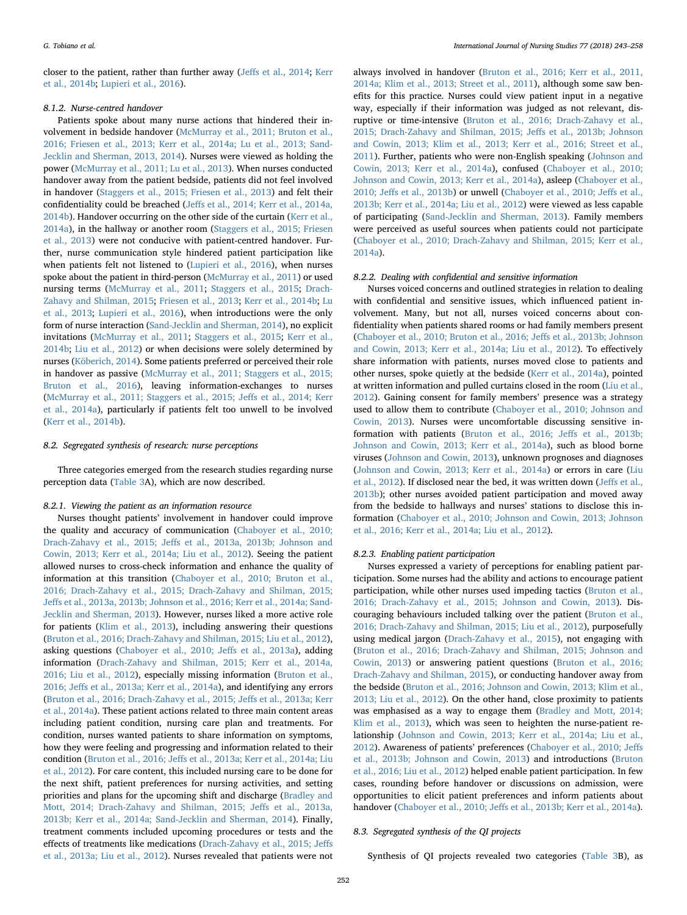closer to the patient, rather than further away (Jeff[s et al., 2014](#page-14-31); [Kerr](#page-14-25) [et al., 2014b;](#page-14-25) [Lupieri et al., 2016](#page-14-35)).

#### 8.1.2. Nurse-centred handover

Patients spoke about many nurse actions that hindered their involvement in bedside handover ([McMurray et al., 2011; Bruton et al.,](#page-14-22) [2016; Friesen et al., 2013; Kerr et al., 2014a; Lu et al., 2013; Sand-](#page-14-22)[Jecklin and Sherman, 2013, 2014](#page-14-22)). Nurses were viewed as holding the power ([McMurray et al., 2011; Lu et al., 2013\)](#page-14-22). When nurses conducted handover away from the patient bedside, patients did not feel involved in handover ([Staggers et al., 2015; Friesen et al., 2013](#page-14-50)) and felt their confidentiality could be breached (Jeff[s et al., 2014; Kerr et al., 2014a,](#page-14-31) [2014b\)](#page-14-31). Handover occurring on the other side of the curtain ([Kerr et al.,](#page-14-51) [2014a\)](#page-14-51), in the hallway or another room ([Staggers et al., 2015; Friesen](#page-14-50) [et al., 2013](#page-14-50)) were not conducive with patient-centred handover. Further, nurse communication style hindered patient participation like when patients felt not listened to ([Lupieri et al., 2016](#page-14-35)), when nurses spoke about the patient in third-person ([McMurray et al., 2011\)](#page-14-22) or used nursing terms [\(McMurray et al., 2011](#page-14-22); [Staggers et al., 2015](#page-14-50); [Drach-](#page-13-11)[Zahavy and Shilman, 2015](#page-13-11); [Friesen et al., 2013](#page-13-13); [Kerr et al., 2014b](#page-14-25); [Lu](#page-14-26) [et al., 2013;](#page-14-26) [Lupieri et al., 2016](#page-14-35)), when introductions were the only form of nurse interaction ([Sand-Jecklin and Sherman, 2014\)](#page-14-36), no explicit invitations [\(McMurray et al., 2011](#page-14-22); [Staggers et al., 2015;](#page-14-50) [Kerr et al.,](#page-14-25) [2014b;](#page-14-25) [Liu et al., 2012](#page-14-34)) or when decisions were solely determined by nurses ([Köberich, 2014\)](#page-14-28). Some patients preferred or perceived their role in handover as passive ([McMurray et al., 2011; Staggers et al., 2015;](#page-14-22) [Bruton et al., 2016\)](#page-14-22), leaving information-exchanges to nurses ([McMurray et al., 2011; Staggers et al., 2015; Je](#page-14-22)ffs et al., 2014; Kerr [et al., 2014a](#page-14-22)), particularly if patients felt too unwell to be involved ([Kerr et al., 2014b\)](#page-14-25).

#### 8.2. Segregated synthesis of research: nurse perceptions

Three categories emerged from the research studies regarding nurse perception data ([Table 3](#page-8-0)A), which are now described.

#### 8.2.1. Viewing the patient as an information resource

Nurses thought patients' involvement in handover could improve the quality and accuracy of communication ([Chaboyer et al., 2010;](#page-13-4) Drach-Zahavy et al., 2015; Jeff[s et al., 2013a, 2013b; Johnson and](#page-13-4) [Cowin, 2013; Kerr et al., 2014a; Liu et al., 2012\)](#page-13-4). Seeing the patient allowed nurses to cross-check information and enhance the quality of information at this transition ([Chaboyer et al., 2010; Bruton et al.,](#page-13-4) [2016; Drach-Zahavy et al., 2015; Drach-Zahavy and Shilman, 2015;](#page-13-4) Jeff[s et al., 2013a, 2013b; Johnson et al., 2016; Kerr et al., 2014a; Sand-](#page-13-4)[Jecklin and Sherman, 2013\)](#page-13-4). However, nurses liked a more active role for patients [\(Klim et al., 2013](#page-14-33)), including answering their questions ([Bruton et al., 2016; Drach-Zahavy and Shilman, 2015; Liu et al., 2012](#page-13-8)), asking questions ([Chaboyer et al., 2010; Je](#page-13-4)ffs et al., 2013a), adding information ([Drach-Zahavy and Shilman, 2015; Kerr et al., 2014a,](#page-13-11) [2016; Liu et al., 2012](#page-13-11)), especially missing information ([Bruton et al.,](#page-13-8) 2016; Jeff[s et al., 2013a; Kerr et al., 2014a](#page-13-8)), and identifying any errors ([Bruton et al., 2016; Drach-Zahavy et al., 2015; Je](#page-13-8)ffs et al., 2013a; Kerr [et al., 2014a](#page-13-8)). These patient actions related to three main content areas including patient condition, nursing care plan and treatments. For condition, nurses wanted patients to share information on symptoms, how they were feeling and progressing and information related to their condition (Bruton et al., 2016; Jeff[s et al., 2013a; Kerr et al., 2014a; Liu](#page-13-8) [et al., 2012](#page-13-8)). For care content, this included nursing care to be done for the next shift, patient preferences for nursing activities, and setting priorities and plans for the upcoming shift and discharge [\(Bradley and](#page-13-10) [Mott, 2014; Drach-Zahavy and Shilman, 2015; Je](#page-13-10)ffs et al., 2013a, [2013b; Kerr et al., 2014a; Sand-Jecklin and Sherman, 2014\)](#page-13-10). Finally, treatment comments included upcoming procedures or tests and the effects of treatments like medications ([Drach-Zahavy et al., 2015; Je](#page-13-9)ffs [et al., 2013a; Liu et al., 2012\)](#page-13-9). Nurses revealed that patients were not

always involved in handover [\(Bruton et al., 2016; Kerr et al., 2011,](#page-13-8) [2014a; Klim et al., 2013; Street et al., 2011](#page-13-8)), although some saw benefits for this practice. Nurses could view patient input in a negative way, especially if their information was judged as not relevant, disruptive or time-intensive ([Bruton et al., 2016; Drach-Zahavy et al.,](#page-13-8) [2015; Drach-Zahavy and Shilman, 2015; Je](#page-13-8)ffs et al., 2013b; Johnson [and Cowin, 2013; Klim et al., 2013; Kerr et al., 2016; Street et al.,](#page-13-8) [2011\)](#page-13-8). Further, patients who were non-English speaking ([Johnson and](#page-14-23) [Cowin, 2013; Kerr et al., 2014a\)](#page-14-23), confused [\(Chaboyer et al., 2010;](#page-13-4) [Johnson and Cowin, 2013; Kerr et al., 2014a](#page-13-4)), asleep [\(Chaboyer et al.,](#page-13-4) 2010; Jeff[s et al., 2013b\)](#page-13-4) or unwell ([Chaboyer et al., 2010; Je](#page-13-4)ffs et al., [2013b; Kerr et al., 2014a; Liu et al., 2012\)](#page-13-4) were viewed as less capable of participating ([Sand-Jecklin and Sherman, 2013\)](#page-14-30). Family members were perceived as useful sources when patients could not participate (Chaboyer [et al., 2010; Drach-Zahavy and Shilman, 2015; Kerr et al.,](#page-13-4) [2014a\)](#page-13-4).

#### 8.2.2. Dealing with confidential and sensitive information

Nurses voiced concerns and outlined strategies in relation to dealing with confidential and sensitive issues, which influenced patient involvement. Many, but not all, nurses voiced concerns about confidentiality when patients shared rooms or had family members present ([Chaboyer et al., 2010; Bruton et al., 2016; Je](#page-13-4)ffs et al., 2013b; Johnson [and Cowin, 2013; Kerr et al., 2014a; Liu et al., 2012](#page-13-4)). To effectively share information with patients, nurses moved close to patients and other nurses, spoke quietly at the bedside [\(Kerr et al., 2014a\)](#page-14-51), pointed at written information and pulled curtains closed in the room [\(Liu et al.,](#page-14-34) [2012\)](#page-14-34). Gaining consent for family members' presence was a strategy used to allow them to contribute [\(Chaboyer et al., 2010; Johnson and](#page-13-4) [Cowin, 2013](#page-13-4)). Nurses were uncomfortable discussing sensitive information with patients [\(Bruton et al., 2016; Je](#page-13-8)ffs et al., 2013b; [Johnson and Cowin, 2013; Kerr et al., 2014a](#page-13-8)), such as blood borne viruses [\(Johnson and Cowin, 2013](#page-14-23)), unknown prognoses and diagnoses ([Johnson and Cowin, 2013; Kerr et al., 2014a](#page-14-23)) or errors in care [\(Liu](#page-14-34) [et al., 2012](#page-14-34)). If disclosed near the bed, it was written down (Jeff[s et al.,](#page-14-52) [2013b\)](#page-14-52); other nurses avoided patient participation and moved away from the bedside to hallways and nurses' stations to disclose this information [\(Chaboyer et al., 2010; Johnson and Cowin, 2013; Johnson](#page-13-4) [et al., 2016; Kerr et al., 2014a; Liu et al., 2012](#page-13-4)).

#### 8.2.3. Enabling patient participation

Nurses expressed a variety of perceptions for enabling patient participation. Some nurses had the ability and actions to encourage patient participation, while other nurses used impeding tactics [\(Bruton et al.,](#page-13-8) [2016; Drach-Zahavy et al., 2015; Johnson and Cowin, 2013](#page-13-8)). Discouraging behaviours included talking over the patient [\(Bruton et al.,](#page-13-8) [2016; Drach-Zahavy and Shilman, 2015; Liu et al., 2012\)](#page-13-8), purposefully using medical jargon ([Drach-Zahavy et al., 2015](#page-13-9)), not engaging with ([Bruton et al., 2016; Drach-Zahavy and Shilman, 2015; Johnson and](#page-13-8) [Cowin, 2013\)](#page-13-8) or answering patient questions ([Bruton et al., 2016;](#page-13-8) [Drach-Zahavy and Shilman, 2015](#page-13-8)), or conducting handover away from the bedside [\(Bruton et al., 2016; Johnson and Cowin, 2013; Klim et al.,](#page-13-8) [2013; Liu et al., 2012](#page-13-8)). On the other hand, close proximity to patients was emphasised as a way to engage them ([Bradley and Mott, 2014;](#page-13-10) [Klim et al., 2013](#page-13-10)), which was seen to heighten the nurse-patient relationship [\(Johnson and Cowin, 2013; Kerr et al., 2014a; Liu et al.,](#page-14-23) [2012\)](#page-14-23). Awareness of patients' preferences [\(Chaboyer et al., 2010; Je](#page-13-4)ffs et [al., 2013b; Johnson and Cowin, 2013](#page-13-4)) and introductions ([Bruton](#page-13-8) [et al., 2016; Liu et al., 2012](#page-13-8)) helped enable patient participation. In few cases, rounding before handover or discussions on admission, were opportunities to elicit patient preferences and inform patients about handover (Chaboyer et al., 2010; Jeff[s et al., 2013b; Kerr et al., 2014a](#page-13-4)).

#### 8.3. Segregated synthesis of the QI projects

Synthesis of QI projects revealed two categories ([Table 3B](#page-8-0)), as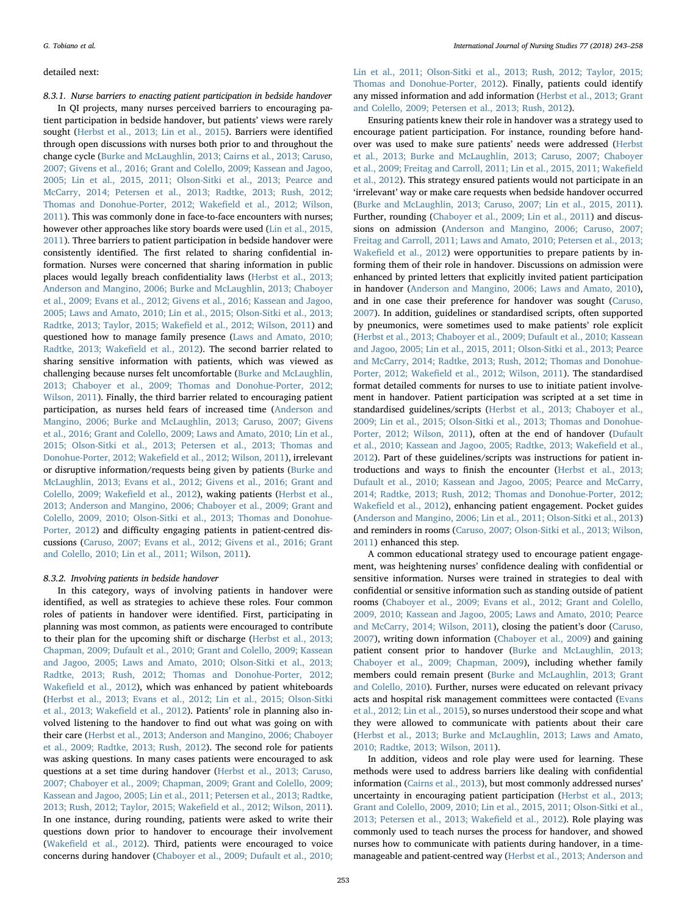#### detailed next:

8.3.1. Nurse barriers to enacting patient participation in bedside handover In QI projects, many nurses perceived barriers to encouraging patient participation in bedside handover, but patients' views were rarely sought [\(Herbst et al., 2013; Lin et al., 2015\)](#page-14-38). Barriers were identified through open discussions with nurses both prior to and throughout the change cycle ([Burke and McLaughlin, 2013; Cairns et al., 2013; Caruso,](#page-13-15) [2007; Givens et al., 2016; Grant and Colello, 2009; Kassean and Jagoo,](#page-13-15) [2005; Lin et al., 2015, 2011; Olson-Sitki et al., 2013; Pearce and](#page-13-15) [McCarry, 2014; Petersen et al., 2013; Radtke, 2013; Rush, 2012;](#page-13-15) [Thomas and Donohue-Porter, 2012; Wake](#page-13-15)field et al., 2012; Wilson, [2011\)](#page-13-15). This was commonly done in face-to-face encounters with nurses; however other approaches like story boards were used ([Lin et al., 2015,](#page-14-41) [2011\)](#page-14-41). Three barriers to patient participation in bedside handover were consistently identified. The first related to sharing confidential information. Nurses were concerned that sharing information in public places would legally breach confidentiality laws [\(Herbst et al., 2013;](#page-14-38) [Anderson and Mangino, 2006; Burke and McLaughlin, 2013; Chaboyer](#page-14-38) [et al., 2009; Evans et al., 2012; Givens et al., 2016; Kassean and Jagoo,](#page-14-38) [2005; Laws and Amato, 2010; Lin et al., 2015; Olson-Sitki et al., 2013;](#page-14-38) [Radtke, 2013; Taylor, 2015; Wake](#page-14-38)field et al., 2012; Wilson, 2011) and questioned how to manage family presence [\(Laws and Amato, 2010;](#page-14-40) [Radtke, 2013; Wake](#page-14-40)field et al., 2012). The second barrier related to sharing sensitive information with patients, which was viewed as challenging because nurses felt uncomfortable [\(Burke and McLaughlin,](#page-13-15) [2013; Chaboyer et al., 2009; Thomas and Donohue-Porter, 2012;](#page-13-15) [Wilson, 2011\)](#page-13-15). Finally, the third barrier related to encouraging patient participation, as nurses held fears of increased time [\(Anderson and](#page-13-14) [Mangino, 2006; Burke and McLaughlin, 2013; Caruso, 2007; Givens](#page-13-14) [et al., 2016; Grant and Colello, 2009; Laws and Amato, 2010; Lin et al.,](#page-13-14) [2015; Olson-Sitki et al., 2013; Petersen et al., 2013; Thomas and](#page-13-14) Donohue-Porter, 2012; Wakefi[eld et al., 2012; Wilson, 2011](#page-13-14)), irrelevant or disruptive information/requests being given by patients [\(Burke and](#page-13-15) [McLaughlin, 2013; Evans et al., 2012; Givens et al., 2016; Grant and](#page-13-15) [Colello, 2009; Wake](#page-13-15)field et al., 2012), waking patients ([Herbst et al.,](#page-14-38) [2013; Anderson and Mangino, 2006; Chaboyer et al., 2009; Grant and](#page-14-38) [Colello, 2009, 2010; Olson-Sitki et al., 2013; Thomas and Donohue-](#page-14-38)[Porter, 2012](#page-14-38)) and difficulty engaging patients in patient-centred discussions ([Caruso, 2007; Evans et al., 2012; Givens et al., 2016; Grant](#page-13-17) [and Colello, 2010; Lin et al., 2011; Wilson, 2011](#page-13-17)).

#### 8.3.2. Involving patients in bedside handover

In this category, ways of involving patients in handover were identified, as well as strategies to achieve these roles. Four common roles of patients in handover were identified. First, participating in planning was most common, as patients were encouraged to contribute to their plan for the upcoming shift or discharge ([Herbst et al., 2013;](#page-14-38) [Chapman, 2009; Dufault et al., 2010; Grant and Colello, 2009; Kassean](#page-14-38) [and Jagoo, 2005; Laws and Amato, 2010; Olson-Sitki et al., 2013;](#page-14-38) [Radtke, 2013; Rush, 2012; Thomas and Donohue-Porter, 2012;](#page-14-38) Wakefi[eld et al., 2012](#page-14-38)), which was enhanced by patient whiteboards (Herbst [et al., 2013; Evans et al., 2012; Lin et al., 2015; Olson-Sitki](#page-14-38) [et al., 2013; Wake](#page-14-38)field et al., 2012). Patients' role in planning also involved listening to the handover to find out what was going on with their care ([Herbst et al., 2013; Anderson and Mangino, 2006; Chaboyer](#page-14-38) [et al., 2009; Radtke, 2013; Rush, 2012\)](#page-14-38). The second role for patients was asking questions. In many cases patients were encouraged to ask questions at a set time during handover ([Herbst et al., 2013; Caruso,](#page-14-38) [2007; Chaboyer et al., 2009; Chapman, 2009; Grant and Colello, 2009;](#page-14-38) [Kassean and Jagoo, 2005; Lin et al., 2011; Petersen et al., 2013; Radtke,](#page-14-38) [2013; Rush, 2012; Taylor, 2015; Wake](#page-14-38)field et al., 2012; Wilson, 2011). In one instance, during rounding, patients were asked to write their questions down prior to handover to encourage their involvement (Wakefi[eld et al., 2012](#page-15-3)). Third, patients were encouraged to voice concerns during handover ([Chaboyer et al., 2009; Dufault et al., 2010;](#page-13-18)

[Lin et al., 2011; Olson-Sitki et al., 2013; Rush, 2012; Taylor, 2015;](#page-13-18) [Thomas and Donohue-Porter, 2012](#page-13-18)). Finally, patients could identify any missed information and add information ([Herbst et al., 2013; Grant](#page-14-38) [and Colello, 2009; Petersen et al., 2013; Rush, 2012](#page-14-38)).

Ensuring patients knew their role in handover was a strategy used to encourage patient participation. For instance, rounding before handover was used to make sure patients' needs were addressed [\(Herbst](#page-14-38) [et al., 2013; Burke and McLaughlin, 2013; Caruso, 2007; Chaboyer](#page-14-38) [et al., 2009; Freitag and Carroll, 2011; Lin et al., 2015, 2011; Wake](#page-14-38)field [et al., 2012\)](#page-14-38). This strategy ensured patients would not participate in an 'irrelevant' way or make care requests when bedside handover occurred ([Burke and McLaughlin, 2013; Caruso, 2007; Lin et al., 2015, 2011](#page-13-15)). Further, rounding ([Chaboyer et al., 2009; Lin et al., 2011](#page-13-18)) and discussions on admission [\(Anderson and Mangino, 2006; Caruso, 2007;](#page-13-14) [Freitag and Carroll, 2011; Laws and Amato, 2010; Petersen et al., 2013;](#page-13-14) Wakefi[eld et al., 2012](#page-13-14)) were opportunities to prepare patients by informing them of their role in handover. Discussions on admission were enhanced by printed letters that explicitly invited patient participation in handover [\(Anderson and Mangino, 2006; Laws and Amato, 2010](#page-13-14)), and in one case their preference for handover was sought [\(Caruso,](#page-13-17) [2007\)](#page-13-17). In addition, guidelines or standardised scripts, often supported by pneumonics, were sometimes used to make patients' role explicit ([Herbst et al., 2013; Chaboyer et al., 2009; Dufault et al., 2010; Kassean](#page-14-38) [and Jagoo, 2005; Lin et al., 2015, 2011; Olson-Sitki et al., 2013; Pearce](#page-14-38) [and McCarry, 2014; Radtke, 2013; Rush, 2012; Thomas and Donohue-](#page-14-38)Porter, 2012; Wakefi[eld et al., 2012; Wilson, 2011\)](#page-14-38). The standardised format detailed comments for nurses to use to initiate patient involvement in handover. Patient participation was scripted at a set time in standardised guidelines/scripts ([Herbst et al., 2013; Chaboyer et al.,](#page-14-38) [2009; Lin et al., 2015; Olson-Sitki et al., 2013; Thomas and Donohue-](#page-14-38)[Porter, 2012; Wilson, 2011\)](#page-14-38), often at the end of handover [\(Dufault](#page-13-20) [et al., 2010; Kassean and Jagoo, 2005; Radtke, 2013; Wake](#page-13-20)field et al., [2012\)](#page-13-20). Part of these guidelines/scripts was instructions for patient introductions and ways to finish the encounter ([Herbst et al., 2013;](#page-14-38) [Dufault et al., 2010; Kassean and Jagoo, 2005; Pearce and McCarry,](#page-14-38) [2014; Radtke, 2013; Rush, 2012; Thomas and Donohue-Porter, 2012;](#page-14-38) Wakefi[eld et al., 2012\)](#page-14-38), enhancing patient engagement. Pocket guides ([Anderson and Mangino, 2006; Lin et al., 2011; Olson-Sitki et al., 2013\)](#page-13-14) and reminders in rooms [\(Caruso, 2007; Olson-Sitki et al., 2013; Wilson,](#page-13-17) [2011\)](#page-13-17) enhanced this step.

A common educational strategy used to encourage patient engagement, was heightening nurses' confidence dealing with confidential or sensitive information. Nurses were trained in strategies to deal with confidential or sensitive information such as standing outside of patient rooms ([Chaboyer et al., 2009; Evans et al., 2012; Grant and Colello,](#page-13-18) [2009, 2010; Kassean and Jagoo, 2005; Laws and Amato, 2010; Pearce](#page-13-18) [and McCarry, 2014; Wilson, 2011](#page-13-18)), closing the patient's door [\(Caruso,](#page-13-17) [2007\)](#page-13-17), writing down information ([Chaboyer et al., 2009](#page-13-18)) and gaining patient consent prior to handover ([Burke and McLaughlin, 2013;](#page-13-15) [Chaboyer et al., 2009; Chapman, 2009](#page-13-15)), including whether family members could remain present ([Burke and McLaughlin, 2013; Grant](#page-13-15) [and Colello, 2010\)](#page-13-15). Further, nurses were educated on relevant privacy acts and hospital risk management committees were contacted [\(Evans](#page-13-21) [et al., 2012; Lin et al., 2015](#page-13-21)), so nurses understood their scope and what they were allowed to communicate with patients about their care ([Herbst et al., 2013; Burke and McLaughlin, 2013; Laws and Amato,](#page-14-38) [2010; Radtke, 2013; Wilson, 2011\)](#page-14-38).

In addition, videos and role play were used for learning. These methods were used to address barriers like dealing with confidential information [\(Cairns et al., 2013](#page-13-16)), but most commonly addressed nurses' uncertainty in encouraging patient participation ([Herbst et al., 2013;](#page-14-38) [Grant and Colello, 2009, 2010; Lin et al., 2015, 2011; Olson-Sitki et al.,](#page-14-38) [2013; Petersen et al., 2013; Wake](#page-14-38)field et al., 2012). Role playing was commonly used to teach nurses the process for handover, and showed nurses how to communicate with patients during handover, in a timemanageable and patient-centred way ([Herbst et al., 2013; Anderson and](#page-14-38)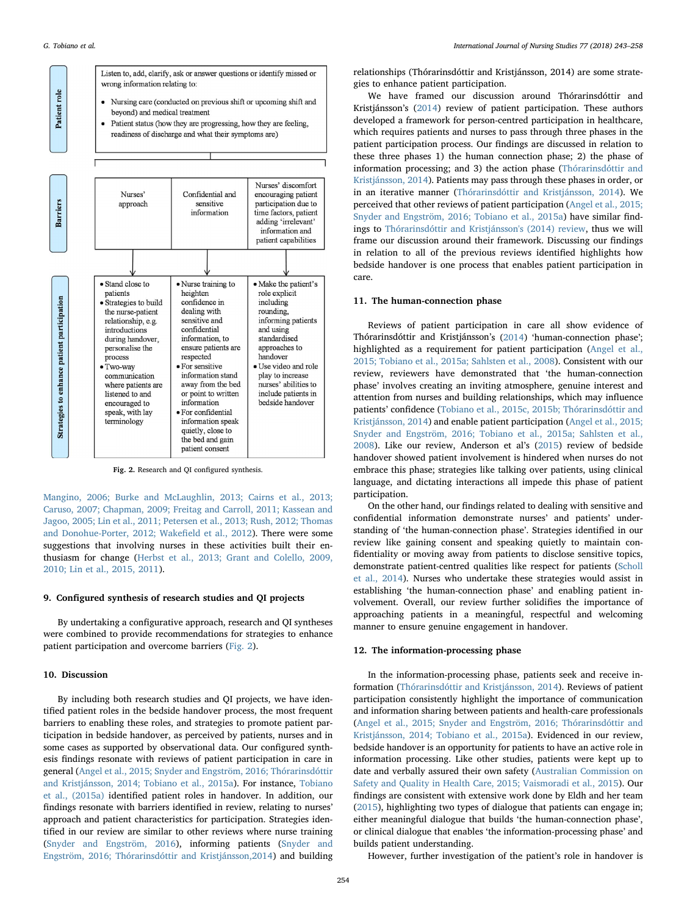<span id="page-11-0"></span>

Fig. 2. Research and QI configured synthesis.

[Mangino, 2006; Burke and McLaughlin, 2013; Cairns et al., 2013;](#page-14-38) [Caruso, 2007; Chapman, 2009; Freitag and Carroll, 2011; Kassean and](#page-14-38) [Jagoo, 2005; Lin et al., 2011; Petersen et al., 2013; Rush, 2012; Thomas](#page-14-38) [and Donohue-Porter, 2012; Wake](#page-14-38)field et al., 2012). There were some suggestions that involving nurses in these activities built their enthusiasm for change [\(Herbst et al., 2013; Grant and Colello, 2009,](#page-14-38) [2010; Lin et al., 2015, 2011\)](#page-14-38).

#### 9. Configured synthesis of research studies and QI projects

By undertaking a configurative approach, research and QI syntheses were combined to provide recommendations for strategies to enhance patient participation and overcome barriers ([Fig. 2](#page-11-0)).

#### 10. Discussion

By including both research studies and QI projects, we have identified patient roles in the bedside handover process, the most frequent barriers to enabling these roles, and strategies to promote patient participation in bedside handover, as perceived by patients, nurses and in some cases as supported by observational data. Our configured synthesis findings resonate with reviews of patient participation in care in general ([Angel et al., 2015; Snyder and Engström, 2016; Thórarinsdóttir](#page-13-27) [and Kristjánsson, 2014; Tobiano et al., 2015a](#page-13-27)). For instance, [Tobiano](#page-15-5) [et al., \(2015a\)](#page-15-5) identified patient roles in handover. In addition, our findings resonate with barriers identified in review, relating to nurses' approach and patient characteristics for participation. Strategies identified in our review are similar to other reviews where nurse training ([Snyder and Engström, 2016](#page-14-53)), informing patients [\(Snyder and](#page-14-53) [Engström, 2016; Thórarinsdóttir and Kristjánsson,2014\)](#page-14-53) and building relationships (Thórarinsdóttir and Kristjánsson, 2014) are some strategies to enhance patient participation.

We have framed our discussion around Thórarinsdóttir and Kristjánsson's ([2014\)](#page-14-54) review of patient participation. These authors developed a framework for person-centred participation in healthcare, which requires patients and nurses to pass through three phases in the patient participation process. Our findings are discussed in relation to these three phases 1) the human connection phase; 2) the phase of information processing; and 3) the action phase [\(Thórarinsdóttir and](#page-14-54) [Kristjánsson, 2014](#page-14-54)). Patients may pass through these phases in order, or in an iterative manner [\(Thórarinsdóttir and Kristjánsson, 2014](#page-14-54)). We perceived that other reviews of patient participation ([Angel et al., 2015;](#page-13-27) [Snyder and Engström, 2016; Tobiano et al., 2015a](#page-13-27)) have similar findings to [Thórarinsdóttir and Kristjánsson's \(2014\) review,](#page-14-54) thus we will frame our discussion around their framework. Discussing our findings in relation to all of the previous reviews identified highlights how bedside handover is one process that enables patient participation in care.

#### 11. The human-connection phase

Reviews of patient participation in care all show evidence of Thórarinsdóttir and Kristjánsson's ([2014](#page-14-54)) 'human-connection phase'; highlighted as a requirement for patient participation [\(Angel et al.,](#page-13-27) [2015; Tobiano et al., 2015a; Sahlsten et al., 2008](#page-13-27)). Consistent with our review, reviewers have demonstrated that 'the human-connection phase' involves creating an inviting atmosphere, genuine interest and attention from nurses and building relationships, which may influence patients' confidence [\(Tobiano et al., 2015c, 2015b; Thórarinsdóttir and](#page-15-6) [Kristjánsson, 2014](#page-15-6)) and enable patient participation ([Angel et al., 2015;](#page-13-27) [Snyder and Engström, 2016; Tobiano et al., 2015a; Sahlsten et al.,](#page-13-27) [2008\)](#page-13-27). Like our review, Anderson et al's ([2015](#page-13-1)) review of bedside handover showed patient involvement is hindered when nurses do not embrace this phase; strategies like talking over patients, using clinical language, and dictating interactions all impede this phase of patient participation.

On the other hand, our findings related to dealing with sensitive and confidential information demonstrate nurses' and patients' understanding of 'the human-connection phase'. Strategies identified in our review like gaining consent and speaking quietly to maintain confidentiality or moving away from patients to disclose sensitive topics, demonstrate patient-centred qualities like respect for patients [\(Scholl](#page-14-7) [et al., 2014](#page-14-7)). Nurses who undertake these strategies would assist in establishing 'the human-connection phase' and enabling patient involvement. Overall, our review further solidifies the importance of approaching patients in a meaningful, respectful and welcoming manner to ensure genuine engagement in handover.

#### 12. The information-processing phase

In the information-processing phase, patients seek and receive information ([Thórarinsdóttir and Kristjánsson, 2014](#page-14-54)). Reviews of patient participation consistently highlight the importance of communication and information sharing between patients and health-care professionals ([Angel et al., 2015; Snyder and Engström, 2016; Thórarinsdóttir and](#page-13-27) [Kristjánsson, 2014; Tobiano et al., 2015a](#page-13-27)). Evidenced in our review, bedside handover is an opportunity for patients to have an active role in information processing. Like other studies, patients were kept up to date and verbally assured their own safety [\(Australian Commission on](#page-13-2) [Safety and Quality in Health Care, 2015; Vaismoradi et al., 2015](#page-13-2)). Our findings are consistent with extensive work done by Eldh and her team ([2015\)](#page-13-28), highlighting two types of dialogue that patients can engage in; either meaningful dialogue that builds 'the human-connection phase', or clinical dialogue that enables 'the information-processing phase' and builds patient understanding.

However, further investigation of the patient's role in handover is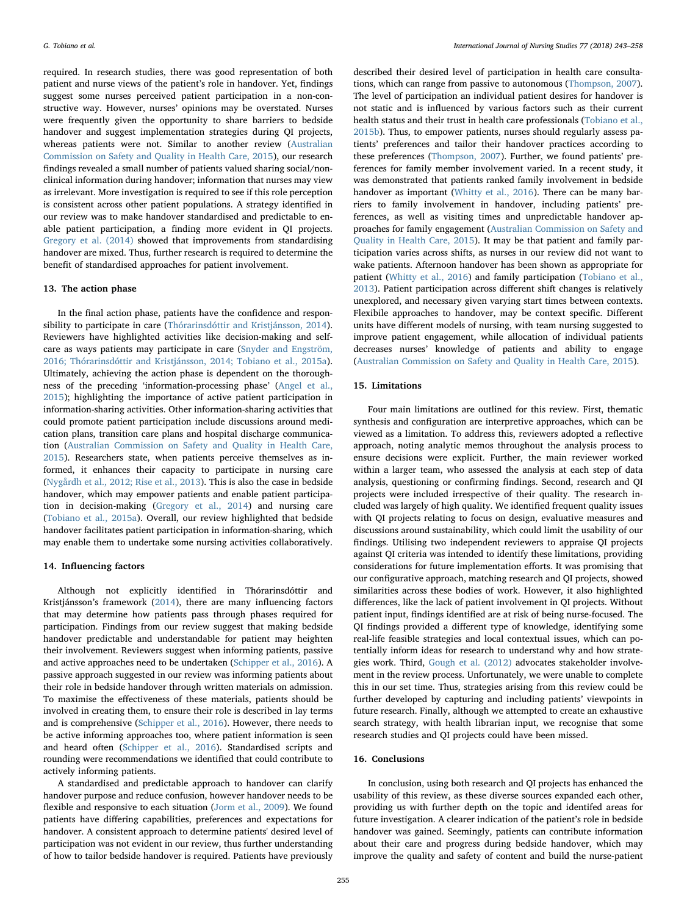required. In research studies, there was good representation of both patient and nurse views of the patient's role in handover. Yet, findings suggest some nurses perceived patient participation in a non-constructive way. However, nurses' opinions may be overstated. Nurses were frequently given the opportunity to share barriers to bedside handover and suggest implementation strategies during QI projects, whereas patients were not. Similar to another review [\(Australian](#page-13-2) [Commission on Safety and Quality in Health Care, 2015\)](#page-13-2), our research findings revealed a small number of patients valued sharing social/nonclinical information during handover; information that nurses may view as irrelevant. More investigation is required to see if this role perception is consistent across other patient populations. A strategy identified in our review was to make handover standardised and predictable to enable patient participation, a finding more evident in QI projects. [Gregory et al. \(2014\)](#page-13-3) showed that improvements from standardising handover are mixed. Thus, further research is required to determine the benefit of standardised approaches for patient involvement.

#### 13. The action phase

In the final action phase, patients have the confidence and responsibility to participate in care [\(Thórarinsdóttir and Kristjánsson, 2014](#page-14-54)). Reviewers have highlighted activities like decision-making and selfcare as ways patients may participate in care [\(Snyder and Engström,](#page-14-53) [2016; Thórarinsdóttir and Kristjánsson, 2014; Tobiano et al., 2015a](#page-14-53)). Ultimately, achieving the action phase is dependent on the thoroughness of the preceding 'information-processing phase' ([Angel et al.,](#page-13-27) [2015\)](#page-13-27); highlighting the importance of active patient participation in information-sharing activities. Other information-sharing activities that could promote patient participation include discussions around medication plans, transition care plans and hospital discharge communication ([Australian Commission on Safety and Quality in Health Care,](#page-13-2) [2015\)](#page-13-2). Researchers state, when patients perceive themselves as informed, it enhances their capacity to participate in nursing care ([Nygårdh et al., 2012; Rise et al., 2013\)](#page-14-55). This is also the case in bedside handover, which may empower patients and enable patient participation in decision-making [\(Gregory et al., 2014](#page-13-3)) and nursing care ([Tobiano et al., 2015a\)](#page-15-5). Overall, our review highlighted that bedside handover facilitates patient participation in information-sharing, which may enable them to undertake some nursing activities collaboratively.

#### 14. Influencing factors

Although not explicitly identified in Thórarinsdóttir and Kristjánsson's framework [\(2014](#page-14-54)), there are many influencing factors that may determine how patients pass through phases required for participation. Findings from our review suggest that making bedside handover predictable and understandable for patient may heighten their involvement. Reviewers suggest when informing patients, passive and active approaches need to be undertaken ([Schipper et al., 2016\)](#page-14-56). A passive approach suggested in our review was informing patients about their role in bedside handover through written materials on admission. To maximise the effectiveness of these materials, patients should be involved in creating them, to ensure their role is described in lay terms and is comprehensive (Schipper [et al., 2016](#page-14-56)). However, there needs to be active informing approaches too, where patient information is seen and heard often ([Schipper et al., 2016](#page-14-56)). Standardised scripts and rounding were recommendations we identified that could contribute to actively informing patients.

A standardised and predictable approach to handover can clarify handover purpose and reduce confusion, however handover needs to be flexible and responsive to each situation ([Jorm et al., 2009\)](#page-14-57). We found patients have differing capabilities, preferences and expectations for handover. A consistent approach to determine patients' desired level of participation was not evident in our review, thus further understanding of how to tailor bedside handover is required. Patients have previously

described their desired level of participation in health care consultations, which can range from passive to autonomous [\(Thompson, 2007](#page-15-7)). The level of participation an individual patient desires for handover is not static and is influenced by various factors such as their current health status and their trust in health care professionals ([Tobiano et al.,](#page-15-8) [2015b\)](#page-15-8). Thus, to empower patients, nurses should regularly assess patients' preferences and tailor their handover practices according to these preferences [\(Thompson, 2007](#page-15-7)). Further, we found patients' preferences for family member involvement varied. In a recent study, it was demonstrated that patients ranked family involvement in bedside handover as important [\(Whitty et al., 2016\)](#page-15-9). There can be many barriers to family involvement in handover, including patients' preferences, as well as visiting times and unpredictable handover approaches for family engagement [\(Australian Commission on Safety and](#page-13-2) [Quality in Health Care, 2015](#page-13-2)). It may be that patient and family participation varies across shifts, as nurses in our review did not want to wake patients. Afternoon handover has been shown as appropriate for patient [\(Whitty et al., 2016](#page-15-9)) and family participation [\(Tobiano et al.,](#page-15-10) [2013\)](#page-15-10). Patient participation across different shift changes is relatively unexplored, and necessary given varying start times between contexts. Flexibile approaches to handover, may be context specific. Different units have different models of nursing, with team nursing suggested to improve patient engagement, while allocation of individual patients decreases nurses' knowledge of patients and ability to engage ([Australian Commission on Safety and Quality in Health Care, 2015](#page-13-2)).

#### 15. Limitations

Four main limitations are outlined for this review. First, thematic synthesis and configuration are interpretive approaches, which can be viewed as a limitation. To address this, reviewers adopted a reflective approach, noting analytic memos throughout the analysis process to ensure decisions were explicit. Further, the main reviewer worked within a larger team, who assessed the analysis at each step of data analysis, questioning or confirming findings. Second, research and QI projects were included irrespective of their quality. The research included was largely of high quality. We identified frequent quality issues with QI projects relating to focus on design, evaluative measures and discussions around sustainability, which could limit the usability of our findings. Utilising two independent reviewers to appraise QI projects against QI criteria was intended to identify these limitations, providing considerations for future implementation efforts. It was promising that our configurative approach, matching research and QI projects, showed similarities across these bodies of work. However, it also highlighted differences, like the lack of patient involvement in QI projects. Without patient input, findings identified are at risk of being nurse-focused. The QI findings provided a different type of knowledge, identifying some real-life feasible strategies and local contextual issues, which can potentially inform ideas for research to understand why and how strategies work. Third, [Gough et al. \(2012\)](#page-13-6) advocates stakeholder involvement in the review process. Unfortunately, we were unable to complete this in our set time. Thus, strategies arising from this review could be further developed by capturing and including patients' viewpoints in future research. Finally, although we attempted to create an exhaustive search strategy, with health librarian input, we recognise that some research studies and QI projects could have been missed.

#### 16. Conclusions

In conclusion, using both research and QI projects has enhanced the usability of this review, as these diverse sources expanded each other, providing us with further depth on the topic and identifed areas for future investigation. A clearer indication of the patient's role in bedside handover was gained. Seemingly, patients can contribute information about their care and progress during bedside handover, which may improve the quality and safety of content and build the nurse-patient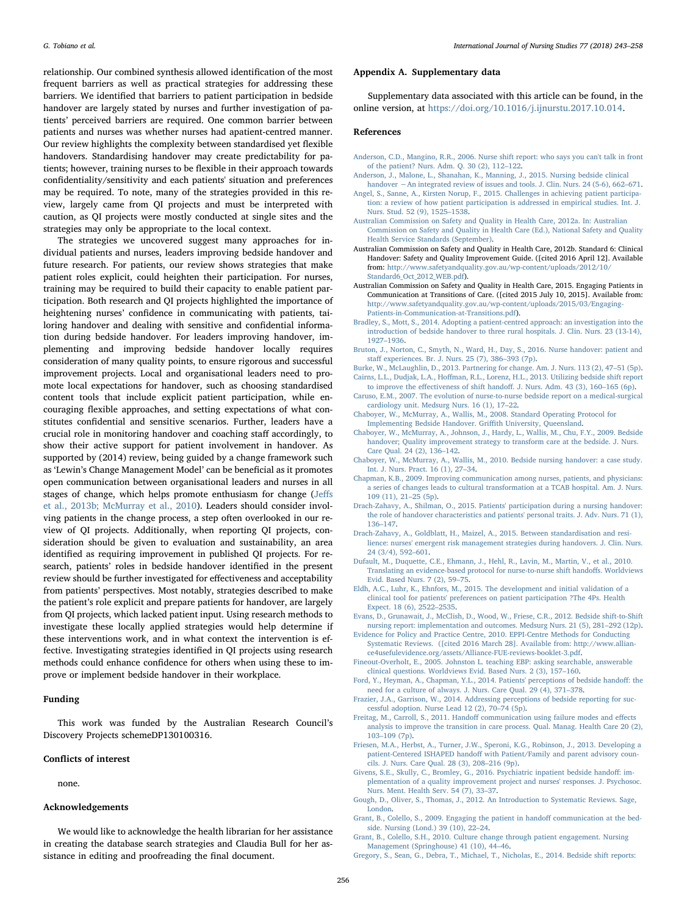relationship. Our combined synthesis allowed identification of the most frequent barriers as well as practical strategies for addressing these barriers. We identified that barriers to patient participation in bedside handover are largely stated by nurses and further investigation of patients' perceived barriers are required. One common barrier between patients and nurses was whether nurses had apatient-centred manner. Our review highlights the complexity between standardised yet flexible handovers. Standardising handover may create predictability for patients; however, training nurses to be flexible in their approach towards confidentiality/sensitivity and each patients' situation and preferences may be required. To note, many of the strategies provided in this review, largely came from QI projects and must be interpreted with caution, as QI projects were mostly conducted at single sites and the strategies may only be appropriate to the local context.

The strategies we uncovered suggest many approaches for individual patients and nurses, leaders improving bedside handover and future research. For patients, our review shows strategies that make patient roles explicit, could heighten their participation. For nurses, training may be required to build their capacity to enable patient participation. Both research and QI projects highlighted the importance of heightening nurses' confidence in communicating with patients, tailoring handover and dealing with sensitive and confidential information during bedside handover. For leaders improving handover, implementing and improving bedside handover locally requires consideration of many quality points, to ensure rigorous and successful improvement projects. Local and organisational leaders need to promote local expectations for handover, such as choosing standardised content tools that include explicit patient participation, while encouraging flexible approaches, and setting expectations of what constitutes confidential and sensitive scenarios. Further, leaders have a crucial role in monitoring handover and coaching staff accordingly, to show their active support for patient involvement in handover. As supported by (2014) review, being guided by a change framework such as 'Lewin's Change Management Model' can be beneficial as it promotes open communication between organisational leaders and nurses in all stages of change, which helps promote enthusiasm for change ([Je](#page-14-52)ffs [et al., 2013b; McMurray et al., 2010\)](#page-14-52). Leaders should consider involving patients in the change process, a step often overlooked in our review of QI projects. Additionally, when reporting QI projects, consideration should be given to evaluation and sustainability, an area identified as requiring improvement in published QI projects. For research, patients' roles in bedside handover identified in the present review should be further investigated for effectiveness and acceptability from patients' perspectives. Most notably, strategies described to make the patient's role explicit and prepare patients for handover, are largely from QI projects, which lacked patient input. Using research methods to investigate these locally applied strategies would help determine if these interventions work, and in what context the intervention is effective. Investigating strategies identified in QI projects using research methods could enhance confidence for others when using these to improve or implement bedside handover in their workplace.

#### Funding

This work was funded by the Australian Research Council's Discovery Projects schemeDP130100316.

#### Conflicts of interest

none.

#### Acknowledgements

We would like to acknowledge the health librarian for her assistance in creating the database search strategies and Claudia Bull for her assistance in editing and proofreading the final document.

#### Appendix A. Supplementary data

Supplementary data associated with this article can be found, in the online version, at <https://doi.org/10.1016/j.ijnurstu.2017.10.014>.

#### References

- <span id="page-13-14"></span>[Anderson, C.D., Mangino, R.R., 2006. Nurse shift report: who says you can't talk in front](http://refhub.elsevier.com/S0020-7489(17)30246-8/sbref0005) [of the patient? Nurs. Adm. Q. 30 \(2\), 112](http://refhub.elsevier.com/S0020-7489(17)30246-8/sbref0005)–122.
- <span id="page-13-1"></span>[Anderson, J., Malone, L., Shanahan, K., Manning, J., 2015. Nursing bedside clinical](http://refhub.elsevier.com/S0020-7489(17)30246-8/sbref0010) handover −[An integrated review of issues and tools. J. Clin. Nurs. 24 \(5-6\), 662](http://refhub.elsevier.com/S0020-7489(17)30246-8/sbref0010)–671.
- <span id="page-13-27"></span>[Angel, S., Sanne, A., Kirsten Norup, F., 2015. Challenges in achieving patient participa](http://refhub.elsevier.com/S0020-7489(17)30246-8/sbref0015)[tion: a review of how patient participation is addressed in empirical studies. Int. J.](http://refhub.elsevier.com/S0020-7489(17)30246-8/sbref0015) [Nurs. Stud. 52 \(9\), 1525](http://refhub.elsevier.com/S0020-7489(17)30246-8/sbref0015)–1538.
- <span id="page-13-0"></span>[Australian Commission on Safety and Quality in Health Care, 2012a. In: Australian](http://refhub.elsevier.com/S0020-7489(17)30246-8/sbref0020) [Commission on Safety and Quality in Health Care \(Ed.\), National Safety and Quality](http://refhub.elsevier.com/S0020-7489(17)30246-8/sbref0020) [Health Service Standards \(September\).](http://refhub.elsevier.com/S0020-7489(17)30246-8/sbref0020)
- Australian Commission on Safety and Quality in Health Care, 2012b. Standard 6: Clinical Handover: Safety and Quality Improvement Guide. ([cited 2016 April 12]. Available from: [http://www.safetyandquality.gov.au/wp-content/uploads/2012/10/](http://www.safetyandquality.gov.au/wp-content/uploads/2012/10/Standard6_Oct_2012_WEB.pdf) [Standard6\\_Oct\\_2012\\_WEB.pdf\)](http://www.safetyandquality.gov.au/wp-content/uploads/2012/10/Standard6_Oct_2012_WEB.pdf).
- <span id="page-13-2"></span>Australian Commission on Safety and Quality in Health Care, 2015. Engaging Patients in Communication at Transitions of Care. ([cited 2015 July 10, 2015]. Available from: [http://www.safetyandquality.gov.au/wp-content/uploads/2015/03/Engaging-](http://www.safetyandquality.gov.au/wp-content/uploads/2015/03/Engaging-Patients-in-Communication-at-Transitions.pdf)[Patients-in-Communication-at-Transitions.pdf](http://www.safetyandquality.gov.au/wp-content/uploads/2015/03/Engaging-Patients-in-Communication-at-Transitions.pdf)).
- <span id="page-13-10"></span>[Bradley, S., Mott, S., 2014. Adopting a patient-centred approach: an investigation into the](http://refhub.elsevier.com/S0020-7489(17)30246-8/sbref0035) [introduction of bedside handover to three rural hospitals. J. Clin. Nurs. 23 \(13-14\),](http://refhub.elsevier.com/S0020-7489(17)30246-8/sbref0035) 1927–[1936](http://refhub.elsevier.com/S0020-7489(17)30246-8/sbref0035).
- <span id="page-13-8"></span>[Bruton, J., Norton, C., Smyth, N., Ward, H., Day, S., 2016. Nurse handover: patient and](http://refhub.elsevier.com/S0020-7489(17)30246-8/sbref0040) staff [experiences. Br. J. Nurs. 25 \(7\), 386](http://refhub.elsevier.com/S0020-7489(17)30246-8/sbref0040)–393 (7p).
- <span id="page-13-16"></span><span id="page-13-15"></span>[Burke, W., McLaughlin, D., 2013. Partnering for change. Am. J. Nurs. 113 \(2\), 47](http://refhub.elsevier.com/S0020-7489(17)30246-8/sbref0045)–51 (5p). Cairns, L.L., Dudjak, L.A., Hoff[man, R.L., Lorenz, H.L., 2013. Utilizing bedside shift report](http://refhub.elsevier.com/S0020-7489(17)30246-8/sbref0050)
- <span id="page-13-17"></span>to improve the effectiveness of shift handoff[. J. Nurs. Adm. 43 \(3\), 160](http://refhub.elsevier.com/S0020-7489(17)30246-8/sbref0050)–165 (6p). [Caruso, E.M., 2007. The evolution of nurse-to-nurse bedside report on a medical-surgical](http://refhub.elsevier.com/S0020-7489(17)30246-8/sbref0055) [cardiology unit. Medsurg Nurs. 16 \(1\), 17](http://refhub.elsevier.com/S0020-7489(17)30246-8/sbref0055)–22.
- <span id="page-13-5"></span>[Chaboyer, W., McMurray, A., Wallis, M., 2008. Standard Operating Protocol for](http://refhub.elsevier.com/S0020-7489(17)30246-8/sbref0060) [Implementing Bedside Handover. Gri](http://refhub.elsevier.com/S0020-7489(17)30246-8/sbref0060)ffith University, Queensland.
- <span id="page-13-18"></span>[Chaboyer, W., McMurray, A., Johnson, J., Hardy, L., Wallis, M., Chu, F.Y., 2009. Bedside](http://refhub.elsevier.com/S0020-7489(17)30246-8/sbref0065) [handover; Quality improvement strategy to transform care at the bedside. J. Nurs.](http://refhub.elsevier.com/S0020-7489(17)30246-8/sbref0065) [Care Qual. 24 \(2\), 136](http://refhub.elsevier.com/S0020-7489(17)30246-8/sbref0065)–142.
- <span id="page-13-4"></span>[Chaboyer, W., McMurray, A., Wallis, M., 2010. Bedside nursing handover: a case study.](http://refhub.elsevier.com/S0020-7489(17)30246-8/sbref0070) [Int. J. Nurs. Pract. 16 \(1\), 27](http://refhub.elsevier.com/S0020-7489(17)30246-8/sbref0070)–34.
- <span id="page-13-19"></span>[Chapman, K.B., 2009. Improving communication among nurses, patients, and physicians:](http://refhub.elsevier.com/S0020-7489(17)30246-8/sbref0075) [a series of changes leads to cultural transformation at a TCAB hospital. Am. J. Nurs.](http://refhub.elsevier.com/S0020-7489(17)30246-8/sbref0075) [109 \(11\), 21](http://refhub.elsevier.com/S0020-7489(17)30246-8/sbref0075)–25 (5p).
- <span id="page-13-11"></span>[Drach-Zahavy, A., Shilman, O., 2015. Patients' participation during a nursing handover:](http://refhub.elsevier.com/S0020-7489(17)30246-8/sbref0080) [the role of handover characteristics and patients' personal traits. J. Adv. Nurs. 71 \(1\),](http://refhub.elsevier.com/S0020-7489(17)30246-8/sbref0080) 136–[147](http://refhub.elsevier.com/S0020-7489(17)30246-8/sbref0080).
- <span id="page-13-9"></span>[Drach-Zahavy, A., Goldblatt, H., Maizel, A., 2015. Between standardisation and resi](http://refhub.elsevier.com/S0020-7489(17)30246-8/sbref0085)[lience: nurses' emergent risk management strategies during handovers. J. Clin. Nurs.](http://refhub.elsevier.com/S0020-7489(17)30246-8/sbref0085) [24 \(3/4\), 592](http://refhub.elsevier.com/S0020-7489(17)30246-8/sbref0085)–601.
- <span id="page-13-20"></span>[Dufault, M., Duquette, C.E., Ehmann, J., Hehl, R., Lavin, M., Martin, V., et al., 2010.](http://refhub.elsevier.com/S0020-7489(17)30246-8/sbref0090) [Translating an evidence-based protocol for nurse-to-nurse shift hando](http://refhub.elsevier.com/S0020-7489(17)30246-8/sbref0090)ffs. Worldviews Evid. [Based Nurs. 7 \(2\), 59](http://refhub.elsevier.com/S0020-7489(17)30246-8/sbref0090)–75.
- <span id="page-13-28"></span>[Eldh, A.C., Luhr, K., Ehnfors, M., 2015. The development and initial validation of a](http://refhub.elsevier.com/S0020-7489(17)30246-8/sbref0095) [clinical tool for patients' preferences on patient participation ?The 4Ps. Health](http://refhub.elsevier.com/S0020-7489(17)30246-8/sbref0095) [Expect. 18 \(6\), 2522](http://refhub.elsevier.com/S0020-7489(17)30246-8/sbref0095)–2535.
- <span id="page-13-21"></span>[Evans, D., Grunawait, J., McClish, D., Wood, W., Friese, C.R., 2012. Bedside shift-to-Shift](http://refhub.elsevier.com/S0020-7489(17)30246-8/sbref0100) [nursing report: implementation and outcomes. Medsurg Nurs. 21 \(5\), 281](http://refhub.elsevier.com/S0020-7489(17)30246-8/sbref0100)–292 (12p).
- [Evidence for Policy and Practice Centre, 2010. EPPI-Centre Methods for Conducting](http://refhub.elsevier.com/S0020-7489(17)30246-8/sbref0105) [Systematic Reviews. \(\[cited 2016 March 28\]. Available from: http://www.allian](http://refhub.elsevier.com/S0020-7489(17)30246-8/sbref0105)[ce4usefulevidence.org/assets/Alliance-FUE-reviews-booklet-3.pdf.](http://refhub.elsevier.com/S0020-7489(17)30246-8/sbref0105)
- <span id="page-13-7"></span>[Fineout-Overholt, E., 2005. Johnston L. teaching EBP: asking searchable, answerable](http://refhub.elsevier.com/S0020-7489(17)30246-8/sbref0110) [clinical questions. Worldviews Evid. Based Nurs. 2 \(3\), 157](http://refhub.elsevier.com/S0020-7489(17)30246-8/sbref0110)–160.
- <span id="page-13-12"></span>[Ford, Y., Heyman, A., Chapman, Y.L., 2014. Patients' perceptions of bedside hando](http://refhub.elsevier.com/S0020-7489(17)30246-8/sbref0115)ff: the [need for a culture of always. J. Nurs. Care Qual. 29 \(4\), 371](http://refhub.elsevier.com/S0020-7489(17)30246-8/sbref0115)–378.
- <span id="page-13-22"></span>[Frazier, J.A., Garrison, W., 2014. Addressing perceptions of bedside reporting for suc](http://refhub.elsevier.com/S0020-7489(17)30246-8/sbref0120)[cessful adoption. Nurse Lead 12 \(2\), 70](http://refhub.elsevier.com/S0020-7489(17)30246-8/sbref0120)–74 (5p).
- <span id="page-13-23"></span>Freitag, M., Carroll, S., 2011. Handoff [communication using failure modes and e](http://refhub.elsevier.com/S0020-7489(17)30246-8/sbref0125)ffects [analysis to improve the transition in care process. Qual. Manag. Health Care 20 \(2\),](http://refhub.elsevier.com/S0020-7489(17)30246-8/sbref0125) 103–[109 \(7p\)](http://refhub.elsevier.com/S0020-7489(17)30246-8/sbref0125).
- <span id="page-13-13"></span>[Friesen, M.A., Herbst, A., Turner, J.W., Speroni, K.G., Robinson, J., 2013. Developing a](http://refhub.elsevier.com/S0020-7489(17)30246-8/sbref0130) patient-Centered ISHAPED handoff [with Patient/Family and parent advisory coun](http://refhub.elsevier.com/S0020-7489(17)30246-8/sbref0130)[cils. J. Nurs. Care Qual. 28 \(3\), 208](http://refhub.elsevier.com/S0020-7489(17)30246-8/sbref0130)–216 (9p).
- <span id="page-13-24"></span>[Givens, S.E., Skully, C., Bromley, G., 2016. Psychiatric inpatient bedside hando](http://refhub.elsevier.com/S0020-7489(17)30246-8/sbref0135)ff: im[plementation of a quality improvement project and nurses' responses. J. Psychosoc.](http://refhub.elsevier.com/S0020-7489(17)30246-8/sbref0135) [Nurs. Ment. Health Serv. 54 \(7\), 33](http://refhub.elsevier.com/S0020-7489(17)30246-8/sbref0135)–37.
- <span id="page-13-6"></span>[Gough, D., Oliver, S., Thomas, J., 2012. An Introduction to Systematic Reviews. Sage,](http://refhub.elsevier.com/S0020-7489(17)30246-8/sbref0140) [London.](http://refhub.elsevier.com/S0020-7489(17)30246-8/sbref0140)
- <span id="page-13-25"></span>[Grant, B., Colello, S., 2009. Engaging the patient in hando](http://refhub.elsevier.com/S0020-7489(17)30246-8/sbref0145)ff communication at the bed[side. Nursing \(Lond.\) 39 \(10\), 22](http://refhub.elsevier.com/S0020-7489(17)30246-8/sbref0145)–24.
- <span id="page-13-26"></span>[Grant, B., Colello, S.H., 2010. Culture change through patient engagement. Nursing](http://refhub.elsevier.com/S0020-7489(17)30246-8/sbref0150) [Management \(Springhouse\) 41 \(10\), 44](http://refhub.elsevier.com/S0020-7489(17)30246-8/sbref0150)–46.
- <span id="page-13-3"></span>[Gregory, S., Sean, G., Debra, T., Michael, T., Nicholas, E., 2014. Bedside shift reports:](http://refhub.elsevier.com/S0020-7489(17)30246-8/sbref0155)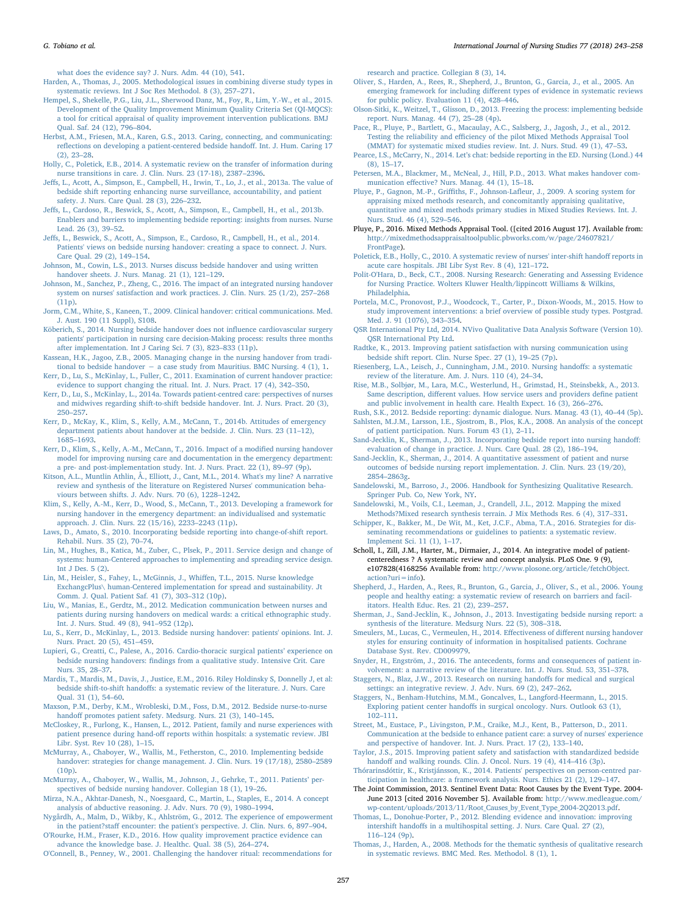[what does the evidence say? J. Nurs. Adm. 44 \(10\), 541](http://refhub.elsevier.com/S0020-7489(17)30246-8/sbref0155).

- <span id="page-14-11"></span>[Harden, A., Thomas, J., 2005. Methodological issues in combining diverse study types in](http://refhub.elsevier.com/S0020-7489(17)30246-8/sbref0160) [systematic reviews. Int J Soc Res Methodol. 8 \(3\), 257](http://refhub.elsevier.com/S0020-7489(17)30246-8/sbref0160)–271.
- <span id="page-14-15"></span>[Hempel, S., Shekelle, P.G., Liu, J.L., Sherwood Danz, M., Foy, R., Lim, Y.-W., et al., 2015.](http://refhub.elsevier.com/S0020-7489(17)30246-8/sbref0165) [Development of the Quality Improvement Minimum Quality Criteria Set \(QI-MQCS\):](http://refhub.elsevier.com/S0020-7489(17)30246-8/sbref0165) [a tool for critical appraisal of quality improvement intervention publications. BMJ](http://refhub.elsevier.com/S0020-7489(17)30246-8/sbref0165) [Qual. Saf. 24 \(12\), 796](http://refhub.elsevier.com/S0020-7489(17)30246-8/sbref0165)–804.
- <span id="page-14-38"></span>[Herbst, A.M., Friesen, M.A., Karen, G.S., 2013. Caring, connecting, and communicating:](http://refhub.elsevier.com/S0020-7489(17)30246-8/sbref0170) refl[ections on developing a patient-centered bedside hando](http://refhub.elsevier.com/S0020-7489(17)30246-8/sbref0170)ff. Int. J. Hum. Caring 17 [\(2\), 23](http://refhub.elsevier.com/S0020-7489(17)30246-8/sbref0170)–28.
- [Holly, C., Poletick, E.B., 2014. A systematic review on the transfer of information during](http://refhub.elsevier.com/S0020-7489(17)30246-8/sbref0175) [nurse transitions in care. J. Clin. Nurs. 23 \(17-18\), 2387](http://refhub.elsevier.com/S0020-7489(17)30246-8/sbref0175)–2396.
- Jeff[s, L., Acott, A., Simpson, E., Campbell, H., Irwin, T., Lo, J., et al., 2013a. The value of](http://refhub.elsevier.com/S0020-7489(17)30246-8/sbref0180) [bedside shift reporting enhancing nurse surveillance, accountability, and patient](http://refhub.elsevier.com/S0020-7489(17)30246-8/sbref0180) [safety. J. Nurs. Care Qual. 28 \(3\), 226](http://refhub.elsevier.com/S0020-7489(17)30246-8/sbref0180)–232.
- <span id="page-14-52"></span>Jeff[s, L., Cardoso, R., Beswick, S., Acott, A., Simpson, E., Campbell, H., et al., 2013b.](http://refhub.elsevier.com/S0020-7489(17)30246-8/sbref0185) [Enablers and barriers to implementing bedside reporting: insights from nurses. Nurse](http://refhub.elsevier.com/S0020-7489(17)30246-8/sbref0185) [Lead. 26 \(3\), 39](http://refhub.elsevier.com/S0020-7489(17)30246-8/sbref0185)–52.
- <span id="page-14-31"></span>Jeff[s, L., Beswick, S., Acott, A., Simpson, E., Cardoso, R., Campbell, H., et al., 2014.](http://refhub.elsevier.com/S0020-7489(17)30246-8/sbref0190) [Patients' views on bedside nursing handover: creating a space to connect. J. Nurs.](http://refhub.elsevier.com/S0020-7489(17)30246-8/sbref0190) [Care Qual. 29 \(2\), 149](http://refhub.elsevier.com/S0020-7489(17)30246-8/sbref0190)–154.
- <span id="page-14-23"></span>[Johnson, M., Cowin, L.S., 2013. Nurses discuss bedside handover and using written](http://refhub.elsevier.com/S0020-7489(17)30246-8/sbref0195) [handover sheets. J. Nurs. Manag. 21 \(1\), 121](http://refhub.elsevier.com/S0020-7489(17)30246-8/sbref0195)–129.
- <span id="page-14-24"></span>[Johnson, M., Sanchez, P., Zheng, C., 2016. The impact of an integrated nursing handover](http://refhub.elsevier.com/S0020-7489(17)30246-8/sbref0200) [system on nurses' satisfaction and work practices. J. Clin. Nurs. 25 \(1/2\), 257](http://refhub.elsevier.com/S0020-7489(17)30246-8/sbref0200)–268  $(11p)$ .
- <span id="page-14-57"></span>[Jorm, C.M., White, S., Kaneen, T., 2009. Clinical handover: critical communications. Med.](http://refhub.elsevier.com/S0020-7489(17)30246-8/sbref0205) [J. Aust. 190 \(11 Suppl\), S108](http://refhub.elsevier.com/S0020-7489(17)30246-8/sbref0205).
- <span id="page-14-28"></span>[Köberich, S., 2014. Nursing bedside handover does not in](http://refhub.elsevier.com/S0020-7489(17)30246-8/sbref0210)fluence cardiovascular surgery [patients' participation in nursing care decision-Making process: results three months](http://refhub.elsevier.com/S0020-7489(17)30246-8/sbref0210) [after implementation. Int J Caring Sci. 7 \(3\), 823](http://refhub.elsevier.com/S0020-7489(17)30246-8/sbref0210)–833 (11p).
- <span id="page-14-39"></span>[Kassean, H.K., Jagoo, Z.B., 2005. Managing change in the nursing handover from tradi](http://refhub.elsevier.com/S0020-7489(17)30246-8/sbref0215)tional to bedside handover  $-$  [a case study from Mauritius. BMC Nursing. 4 \(1\), 1](http://refhub.elsevier.com/S0020-7489(17)30246-8/sbref0215).
- <span id="page-14-32"></span>[Kerr, D., Lu, S., McKinlay, L., Fuller, C., 2011. Examination of current handover practice:](http://refhub.elsevier.com/S0020-7489(17)30246-8/sbref0220) [evidence to support changing the ritual. Int. J. Nurs. Pract. 17 \(4\), 342](http://refhub.elsevier.com/S0020-7489(17)30246-8/sbref0220)–350.
- <span id="page-14-51"></span>[Kerr, D., Lu, S., McKinlay, L., 2014a. Towards patient-centred care: perspectives of nurses](http://refhub.elsevier.com/S0020-7489(17)30246-8/sbref0225) [and midwives regarding shift-to-shift bedside handover. Int. J. Nurs. Pract. 20 \(3\),](http://refhub.elsevier.com/S0020-7489(17)30246-8/sbref0225) 250–[257](http://refhub.elsevier.com/S0020-7489(17)30246-8/sbref0225).
- <span id="page-14-25"></span>[Kerr, D., McKay, K., Klim, S., Kelly, A.M., McCann, T., 2014b. Attitudes of emergency](http://refhub.elsevier.com/S0020-7489(17)30246-8/sbref0230) [department patients about handover at the bedside. J. Clin. Nurs. 23 \(11](http://refhub.elsevier.com/S0020-7489(17)30246-8/sbref0230)–12), 1685–[1693](http://refhub.elsevier.com/S0020-7489(17)30246-8/sbref0230).
- <span id="page-14-27"></span>[Kerr, D., Klim, S., Kelly, A.-M., McCann, T., 2016. Impact of a modi](http://refhub.elsevier.com/S0020-7489(17)30246-8/sbref0235)fied nursing handover model [for improving nursing care and documentation in the emergency department:](http://refhub.elsevier.com/S0020-7489(17)30246-8/sbref0235) [a pre- and post-implementation study. Int. J. Nurs. Pract. 22 \(1\), 89](http://refhub.elsevier.com/S0020-7489(17)30246-8/sbref0235)–97 (9p).
- <span id="page-14-0"></span>[Kitson, A.L., Muntlin Athlin, Å., Elliott, J., Cant, M.L., 2014. What's my line? A narrative](http://refhub.elsevier.com/S0020-7489(17)30246-8/sbref0240) [review and synthesis of the literature on Registered Nurses' communication beha](http://refhub.elsevier.com/S0020-7489(17)30246-8/sbref0240)[viours between shifts. J. Adv. Nurs. 70 \(6\), 1228](http://refhub.elsevier.com/S0020-7489(17)30246-8/sbref0240)–1242.
- <span id="page-14-33"></span>[Klim, S., Kelly, A.-M., Kerr, D., Wood, S., McCann, T., 2013. Developing a framework for](http://refhub.elsevier.com/S0020-7489(17)30246-8/sbref0245) [nursing handover in the emergency department: an individualised and systematic](http://refhub.elsevier.com/S0020-7489(17)30246-8/sbref0245) [approach. J. Clin. Nurs. 22 \(15/16\), 2233](http://refhub.elsevier.com/S0020-7489(17)30246-8/sbref0245)–2243 (11p).
- <span id="page-14-40"></span>[Laws, D., Amato, S., 2010. Incorporating bedside reporting into change-of-shift report.](http://refhub.elsevier.com/S0020-7489(17)30246-8/sbref0250) [Rehabil. Nurs. 35 \(2\), 70](http://refhub.elsevier.com/S0020-7489(17)30246-8/sbref0250)–74.
- <span id="page-14-42"></span>[Lin, M., Hughes, B., Katica, M., Zuber, C., Plsek, P., 2011. Service design and change of](http://refhub.elsevier.com/S0020-7489(17)30246-8/sbref0255) [systems: human-Centered approaches to implementing and spreading service design.](http://refhub.elsevier.com/S0020-7489(17)30246-8/sbref0255) Int J Des.  $5(2)$ .
- <span id="page-14-41"></span>[Lin, M., Heisler, S., Fahey, L., McGinnis, J., Whi](http://refhub.elsevier.com/S0020-7489(17)30246-8/sbref0260)ffen, T.L., 2015. Nurse knowledge [ExchangcPlus\ human-Centered implementation for spread and sustainability. Jt](http://refhub.elsevier.com/S0020-7489(17)30246-8/sbref0260) [Comm. J. Qual. Patient Saf. 41 \(7\), 303](http://refhub.elsevier.com/S0020-7489(17)30246-8/sbref0260)–312 (10p).
- <span id="page-14-34"></span>[Liu, W., Manias, E., Gerdtz, M., 2012. Medication communication between nurses and](http://refhub.elsevier.com/S0020-7489(17)30246-8/sbref0265) [patients during nursing handovers on medical wards: a critical ethnographic study.](http://refhub.elsevier.com/S0020-7489(17)30246-8/sbref0265) [Int. J. Nurs. Stud. 49 \(8\), 941](http://refhub.elsevier.com/S0020-7489(17)30246-8/sbref0265)–952 (12p).
- <span id="page-14-26"></span>[Lu, S., Kerr, D., McKinlay, L., 2013. Bedside nursing handover: patients' opinions. Int. J.](http://refhub.elsevier.com/S0020-7489(17)30246-8/sbref0270) [Nurs. Pract. 20 \(5\), 451](http://refhub.elsevier.com/S0020-7489(17)30246-8/sbref0270)–459.
- <span id="page-14-35"></span>[Lupieri, G., Creatti, C., Palese, A., 2016. Cardio-thoracic surgical patients](http://refhub.elsevier.com/S0020-7489(17)30246-8/sbref0275)' experience on bedside nursing handovers: fi[ndings from a qualitative study. Intensive Crit. Care](http://refhub.elsevier.com/S0020-7489(17)30246-8/sbref0275) [Nurs. 35, 28](http://refhub.elsevier.com/S0020-7489(17)30246-8/sbref0275)–37.
- <span id="page-14-3"></span>[Mardis, T., Mardis, M., Davis, J., Justice, E.M., 2016. Riley Holdinsky S, Donnelly J, et al:](http://refhub.elsevier.com/S0020-7489(17)30246-8/sbref0280) bedside shift-to-shift handoff[s: a systematic review of the literature. J. Nurs. Care](http://refhub.elsevier.com/S0020-7489(17)30246-8/sbref0280) [Qual. 31 \(1\), 54](http://refhub.elsevier.com/S0020-7489(17)30246-8/sbref0280)–60.
- <span id="page-14-29"></span>[Maxson, P.M., Derby, K.M., Wrobleski, D.M., Foss, D.M., 2012. Bedside nurse-to-nurse](http://refhub.elsevier.com/S0020-7489(17)30246-8/sbref0285) handoff [promotes patient safety. Medsurg. Nurs. 21 \(3\), 140](http://refhub.elsevier.com/S0020-7489(17)30246-8/sbref0285)–145.
- <span id="page-14-8"></span>[McCloskey, R., Furlong, K., Hansen, L., 2012. Patient, family and nurse experiences with](http://refhub.elsevier.com/S0020-7489(17)30246-8/sbref0290) patient presence during hand-off [reports within hospitals: a systematic review. JBI](http://refhub.elsevier.com/S0020-7489(17)30246-8/sbref0290) [Libr. Syst. Rev 10 \(28\), 1](http://refhub.elsevier.com/S0020-7489(17)30246-8/sbref0290)–15.
- [McMurray, A., Chaboyer, W., Wallis, M., Fetherston, C., 2010. Implementing bedside](http://refhub.elsevier.com/S0020-7489(17)30246-8/sbref0295) [handover: strategies for change management. J. Clin. Nurs. 19 \(17/18\), 2580](http://refhub.elsevier.com/S0020-7489(17)30246-8/sbref0295)–2589 [\(10p\)](http://refhub.elsevier.com/S0020-7489(17)30246-8/sbref0295).
- <span id="page-14-22"></span>[McMurray, A., Chaboyer, W., Wallis, M., Johnson, J., Gehrke, T., 2011. Patients](http://refhub.elsevier.com/S0020-7489(17)30246-8/sbref0300)' per[spectives of bedside nursing handover. Collegian 18 \(1\), 19](http://refhub.elsevier.com/S0020-7489(17)30246-8/sbref0300)–26.
- <span id="page-14-20"></span>Mirza, N.A., Akhtar‐[Danesh, N., Noesgaard, C., Martin, L., Staples, E., 2014. A concept](http://refhub.elsevier.com/S0020-7489(17)30246-8/sbref0305) [analysis of abductive reasoning. J. Adv. Nurs. 70 \(9\), 1980](http://refhub.elsevier.com/S0020-7489(17)30246-8/sbref0305)–1994.
- <span id="page-14-55"></span>[Nygårdh, A., Malm, D., Wikby, K., Ahlström, G., 2012. The experience of empowerment](http://refhub.elsevier.com/S0020-7489(17)30246-8/sbref0310) in the patient?staff [encounter: the patient's perspective. J. Clin. Nurs. 6, 897](http://refhub.elsevier.com/S0020-7489(17)30246-8/sbref0310)–904.
- <span id="page-14-10"></span>O'Rourke, [H.M., Fraser, K.D., 2016. How quality improvement practice evidence can](http://refhub.elsevier.com/S0020-7489(17)30246-8/sbref0315) [advance the knowledge base. J. Healthc. Qual. 38 \(5\), 264](http://refhub.elsevier.com/S0020-7489(17)30246-8/sbref0315)–274.
- <span id="page-14-2"></span>[O'Connell, B., Penney, W., 2001. Challenging the handover ritual: recommendations for](http://refhub.elsevier.com/S0020-7489(17)30246-8/sbref0320)

[research and practice. Collegian 8 \(3\), 14](http://refhub.elsevier.com/S0020-7489(17)30246-8/sbref0320).

- <span id="page-14-19"></span>[Oliver, S., Harden, A., Rees, R., Shepherd, J., Brunton, G., Garcia, J., et al., 2005. An](http://refhub.elsevier.com/S0020-7489(17)30246-8/sbref0325) emerging framework for including diff[erent types of evidence in systematic reviews](http://refhub.elsevier.com/S0020-7489(17)30246-8/sbref0325) [for public policy. Evaluation 11 \(4\), 428](http://refhub.elsevier.com/S0020-7489(17)30246-8/sbref0325)–446.
- <span id="page-14-43"></span>[Olson-Sitki, K., Weitzel, T., Glisson, D., 2013. Freezing the process: implementing bedside](http://refhub.elsevier.com/S0020-7489(17)30246-8/sbref0330) [report. Nurs. Manag. 44 \(7\), 25](http://refhub.elsevier.com/S0020-7489(17)30246-8/sbref0330)–28 (4p).
- <span id="page-14-14"></span>[Pace, R., Pluye, P., Bartlett, G., Macaulay, A.C., Salsberg, J., Jagosh, J., et al., 2012.](http://refhub.elsevier.com/S0020-7489(17)30246-8/sbref0335) Testing the reliability and effi[ciency of the pilot Mixed Methods Appraisal Tool](http://refhub.elsevier.com/S0020-7489(17)30246-8/sbref0335) [\(MMAT\) for systematic mixed studies review. Int. J. Nurs. Stud. 49 \(1\), 47](http://refhub.elsevier.com/S0020-7489(17)30246-8/sbref0335)–53.
- <span id="page-14-44"></span>Pearce, I.S., McCarry, N., 2014. Let'[s chat: bedside reporting in the ED. Nursing \(Lond.\) 44](http://refhub.elsevier.com/S0020-7489(17)30246-8/sbref0340) [\(8\), 15](http://refhub.elsevier.com/S0020-7489(17)30246-8/sbref0340)–17.
- <span id="page-14-45"></span>[Petersen, M.A., Blackmer, M., McNeal, J., Hill, P.D., 2013. What makes handover com](http://refhub.elsevier.com/S0020-7489(17)30246-8/sbref0345)munication eff[ective? Nurs. Manag. 44 \(1\), 15](http://refhub.elsevier.com/S0020-7489(17)30246-8/sbref0345)–18.
- <span id="page-14-13"></span>Pluye, P., Gagnon, M.-P., Griffiths, F., Johnson-Lafl[eur, J., 2009. A scoring system for](http://refhub.elsevier.com/S0020-7489(17)30246-8/sbref0350) [appraising mixed methods research, and concomitantly appraising qualitative,](http://refhub.elsevier.com/S0020-7489(17)30246-8/sbref0350) [quantitative and mixed methods primary studies in Mixed Studies Reviews. Int. J.](http://refhub.elsevier.com/S0020-7489(17)30246-8/sbref0350) [Nurs. Stud. 46 \(4\), 529](http://refhub.elsevier.com/S0020-7489(17)30246-8/sbref0350)–546.
- Pluye, P., 2016. Mixed Methods Appraisal Tool. ([cited 2016 August 17]. Available from: [http://mixedmethodsappraisaltoolpublic.pbworks.com/w/page/24607821/](http://mixedmethodsappraisaltoolpublic.pbworks.com/w/page/24607821/FrontPage) [FrontPage](http://mixedmethodsappraisaltoolpublic.pbworks.com/w/page/24607821/FrontPage)).
- [Poletick, E.B., Holly, C., 2010. A systematic review of nurses' inter-shift hando](http://refhub.elsevier.com/S0020-7489(17)30246-8/sbref0360)ff reports in [acute care hospitals. JBI Libr Syst Rev. 8 \(4\), 121](http://refhub.elsevier.com/S0020-7489(17)30246-8/sbref0360)–172.
- <span id="page-14-12"></span>[Polit-O'Hara, D., Beck, C.T., 2008. Nursing Research: Generating and Assessing Evidence](http://refhub.elsevier.com/S0020-7489(17)30246-8/sbref0365) [for Nursing Practice. Wolters Kluwer Health/lippincott Williams & Wilkins,](http://refhub.elsevier.com/S0020-7489(17)30246-8/sbref0365) [Philadelphia.](http://refhub.elsevier.com/S0020-7489(17)30246-8/sbref0365)
- <span id="page-14-9"></span>[Portela, M.C., Pronovost, P.J., Woodcock, T., Carter, P., Dixon-Woods, M., 2015. How to](http://refhub.elsevier.com/S0020-7489(17)30246-8/sbref0370) [study improvement interventions: a brief overview of possible study types. Postgrad.](http://refhub.elsevier.com/S0020-7489(17)30246-8/sbref0370) [Med. J. 91 \(1076\), 343](http://refhub.elsevier.com/S0020-7489(17)30246-8/sbref0370)–354.
- <span id="page-14-17"></span>[QSR International Pty Ltd, 2014. NVivo Qualitative Data Analysis Software \(Version 10\).](http://refhub.elsevier.com/S0020-7489(17)30246-8/sbref0375) [QSR International Pty Ltd](http://refhub.elsevier.com/S0020-7489(17)30246-8/sbref0375).
- <span id="page-14-46"></span>[Radtke, K., 2013. Improving patient satisfaction with nursing communication using](http://refhub.elsevier.com/S0020-7489(17)30246-8/sbref0380) [bedside shift report. Clin. Nurse Spec. 27 \(1\), 19](http://refhub.elsevier.com/S0020-7489(17)30246-8/sbref0380)–25 (7p).
- [Riesenberg, L.A., Leisch, J., Cunningham, J.M., 2010. Nursing hando](http://refhub.elsevier.com/S0020-7489(17)30246-8/sbref0385)ffs: a systematic [review of the literature. Am. J. Nurs. 110 \(4\), 24](http://refhub.elsevier.com/S0020-7489(17)30246-8/sbref0385)–34.
- [Rise, M.B., Solbjør, M., Lara, M.C., Westerlund, H., Grimstad, H., Steinsbekk, A., 2013.](http://refhub.elsevier.com/S0020-7489(17)30246-8/sbref0390) Same description, diff[erent values. How service users and providers de](http://refhub.elsevier.com/S0020-7489(17)30246-8/sbref0390)fine patient [and public involvement in health care. Health Expect. 16 \(3\), 266](http://refhub.elsevier.com/S0020-7489(17)30246-8/sbref0390)–276.
- <span id="page-14-47"></span>Rush, [S.K., 2012. Bedside reporting: dynamic dialogue. Nurs. Manag. 43 \(1\), 40](http://refhub.elsevier.com/S0020-7489(17)30246-8/sbref0395)–44 (5p). [Sahlsten, M.J.M., Larsson, I.E., Sjostrom, B., Plos, K.A., 2008. An analysis of the concept](http://refhub.elsevier.com/S0020-7489(17)30246-8/sbref0400) [of patient participation. Nurs. Forum 43 \(1\), 2](http://refhub.elsevier.com/S0020-7489(17)30246-8/sbref0400)–11.
- <span id="page-14-30"></span>[Sand-Jecklin, K., Sherman, J., 2013. Incorporating bedside report into nursing hando](http://refhub.elsevier.com/S0020-7489(17)30246-8/sbref0405)ff: [evaluation of change in practice. J. Nurs. Care Qual. 28 \(2\), 186](http://refhub.elsevier.com/S0020-7489(17)30246-8/sbref0405)–194.
- <span id="page-14-36"></span>[Sand-Jecklin, K., Sherman, J., 2014. A quantitative assessment of patient and nurse](http://refhub.elsevier.com/S0020-7489(17)30246-8/sbref0410) [outcomes of bedside nursing report implementation. J. Clin. Nurs. 23 \(19/20\),](http://refhub.elsevier.com/S0020-7489(17)30246-8/sbref0410) 2854–[2863g.](http://refhub.elsevier.com/S0020-7489(17)30246-8/sbref0410)
- <span id="page-14-21"></span>[Sandelowski, M., Barroso, J., 2006. Handbook for Synthesizing Qualitative Research.](http://refhub.elsevier.com/S0020-7489(17)30246-8/sbref0415) [Springer Pub. Co, New York, NY](http://refhub.elsevier.com/S0020-7489(17)30246-8/sbref0415).
- <span id="page-14-18"></span>[Sandelowski, M., Voils, C.I., Leeman, J., Crandell, J.L., 2012. Mapping the mixed](http://refhub.elsevier.com/S0020-7489(17)30246-8/sbref0420) [Methods?Mixed research synthesis terrain. J Mix Methods Res. 6 \(4\), 317](http://refhub.elsevier.com/S0020-7489(17)30246-8/sbref0420)–331.
- <span id="page-14-56"></span>[Schipper, K., Bakker, M., De Wit, M., Ket, J.C.F., Abma, T.A., 2016. Strategies for dis](http://refhub.elsevier.com/S0020-7489(17)30246-8/sbref0425)[seminating recommendations or guidelines to patients: a systematic review.](http://refhub.elsevier.com/S0020-7489(17)30246-8/sbref0425) [Implement Sci. 11 \(1\), 1](http://refhub.elsevier.com/S0020-7489(17)30246-8/sbref0425)–17.
- <span id="page-14-7"></span>Scholl, I., Zill, J.M., Harter, M., Dirmaier, J., 2014. An integrative model of patientcenteredness ? A systematic review and concept analysis. PLoS One. 9 (9), e107828(4168256 Available from: [http://www.plosone.org/article/fetchObject.](http://www.plosone.org/article/fetchObject.action?uri=info) [action?uri=info\)](http://www.plosone.org/article/fetchObject.action?uri=info).
- [Shepherd, J., Harden, A., Rees, R., Brunton, G., Garcia, J., Oliver, S., et al., 2006. Young](http://refhub.elsevier.com/S0020-7489(17)30246-8/sbref0435) [people and healthy eating: a systematic review of research on barriers and facil](http://refhub.elsevier.com/S0020-7489(17)30246-8/sbref0435)[itators. Health Educ. Res. 21 \(2\), 239](http://refhub.elsevier.com/S0020-7489(17)30246-8/sbref0435)–257.
- <span id="page-14-4"></span>[Sherman, J., Sand-Jecklin, K., Johnson, J., 2013. Investigating bedside nursing report: a](http://refhub.elsevier.com/S0020-7489(17)30246-8/sbref0440) [synthesis of the literature. Medsurg Nurs. 22 \(5\), 308](http://refhub.elsevier.com/S0020-7489(17)30246-8/sbref0440)–318.
- <span id="page-14-6"></span>[Smeulers, M., Lucas, C., Vermeulen, H., 2014. E](http://refhub.elsevier.com/S0020-7489(17)30246-8/sbref0445)ffectiveness of different nursing handover [styles for ensuring continuity of information in hospitalised patients. Cochrane](http://refhub.elsevier.com/S0020-7489(17)30246-8/sbref0445) [Database Syst. Rev. CD009979](http://refhub.elsevier.com/S0020-7489(17)30246-8/sbref0445).
- <span id="page-14-53"></span>[Snyder, H., Engström, J., 2016. The antecedents, forms and consequences of patient in](http://refhub.elsevier.com/S0020-7489(17)30246-8/sbref0450)[volvement: a narrative review of the literature. Int. J. Nurs. Stud. 53, 351](http://refhub.elsevier.com/S0020-7489(17)30246-8/sbref0450)–378.
- <span id="page-14-5"></span>[Staggers, N., Blaz, J.W., 2013. Research on nursing hando](http://refhub.elsevier.com/S0020-7489(17)30246-8/sbref0455)ffs for medical and surgical [settings: an integrative review. J. Adv. Nurs. 69 \(2\), 247](http://refhub.elsevier.com/S0020-7489(17)30246-8/sbref0455)–262.
- <span id="page-14-50"></span>[Staggers, N., Benham-Hutchins, M.M., Goncalves, L., Langford-Heermann, L., 2015.](http://refhub.elsevier.com/S0020-7489(17)30246-8/sbref0460) Exploring patient center handoff[s in surgical oncology. Nurs. Outlook 63 \(1\),](http://refhub.elsevier.com/S0020-7489(17)30246-8/sbref0460) 102–[111](http://refhub.elsevier.com/S0020-7489(17)30246-8/sbref0460).
- <span id="page-14-37"></span>[Street, M., Eustace, P., Livingston, P.M., Craike, M.J., Kent, B., Patterson, D., 2011.](http://refhub.elsevier.com/S0020-7489(17)30246-8/sbref0465) [Communication at the bedside to enhance patient care: a survey of nurses' experience](http://refhub.elsevier.com/S0020-7489(17)30246-8/sbref0465) [and perspective of handover. Int. J. Nurs. Pract. 17 \(2\), 133](http://refhub.elsevier.com/S0020-7489(17)30246-8/sbref0465)–140.
- <span id="page-14-48"></span>[Taylor, J.S., 2015. Improving patient safety and satisfaction with standardized bedside](http://refhub.elsevier.com/S0020-7489(17)30246-8/sbref0470) handoff [and walking rounds. Clin. J. Oncol. Nurs. 19 \(4\), 414](http://refhub.elsevier.com/S0020-7489(17)30246-8/sbref0470)–416 (3p).
- <span id="page-14-54"></span>[Thórarinsdóttir, K., Kristjánsson, K., 2014. Patients' perspectives on person-centred par](http://refhub.elsevier.com/S0020-7489(17)30246-8/sbref0475)[ticipation in healthcare: a framework analysis. Nurs. Ethics 21 \(2\), 129](http://refhub.elsevier.com/S0020-7489(17)30246-8/sbref0475)–147.
- <span id="page-14-1"></span>The Joint Commission, 2013. Sentinel Event Data: Root Causes by the Event Type. 2004- June 2013 [cited 2016 November 5]. Available from: [http://www.medleague.com/](http://www.medleague.com/wp-content/uploads/2013/11/Root_Causes_by_Event_Type_2004-2Q2013.pdf) [wp-content/uploads/2013/11/Root\\_Causes\\_by\\_Event\\_Type\\_2004-2Q2013.pdf](http://www.medleague.com/wp-content/uploads/2013/11/Root_Causes_by_Event_Type_2004-2Q2013.pdf).
- <span id="page-14-49"></span>[Thomas, L., Donohue-Porter, P., 2012. Blending evidence and innovation: improving](http://refhub.elsevier.com/S0020-7489(17)30246-8/sbref0485) intershift handoff[s in a multihospital setting. J. Nurs. Care Qual. 27 \(2\),](http://refhub.elsevier.com/S0020-7489(17)30246-8/sbref0485) 116–[124 \(9p\)](http://refhub.elsevier.com/S0020-7489(17)30246-8/sbref0485).
- <span id="page-14-16"></span>[Thomas, J., Harden, A., 2008. Methods for the thematic synthesis of qualitative research](http://refhub.elsevier.com/S0020-7489(17)30246-8/sbref0490) [in systematic reviews. BMC Med. Res. Methodol. 8 \(1\), 1](http://refhub.elsevier.com/S0020-7489(17)30246-8/sbref0490).